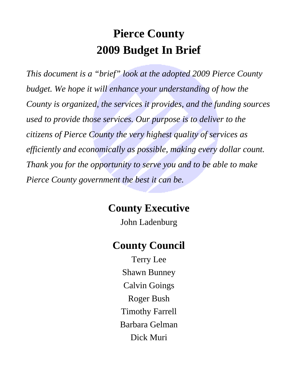# **Pierce County 2009 Budget In Brief**

*This document is a "brief" look at the adopted 2009 Pierce County budget. We hope it will enhance your understanding of how the County is organized, the services it provides, and the funding sources used to provide those services. Our purpose is to deliver to the citizens of Pierce County the very highest quality of services as efficiently and economically as possible, making every dollar count. Thank you for the opportunity to serve you and to be able to make Pierce County government the best it can be.* 

# **County Executive**

John Ladenburg

# **County Council**

Terry Lee Shawn Bunney Calvin Goings Roger Bush Timothy Farrell Barbara Gelman Dick Muri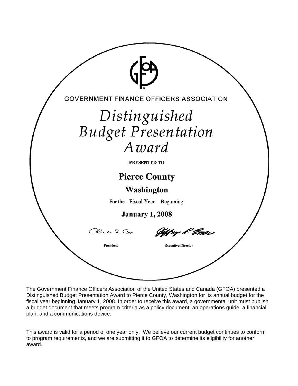

The Government Finance Officers Association of the United States and Canada (GFOA) presented a Distinguished Budget Presentation Award to Pierce County, Washington for its annual budget for the fiscal year beginning January 1, 2008. In order to receive this award, a governmental unit must publish a budget document that meets program criteria as a policy document, an operations guide, a financial plan, and a communications device.

This award is valid for a period of one year only. We believe our current budget continues to conform to program requirements, and we are submitting it to GFOA to determine its eligibility for another award.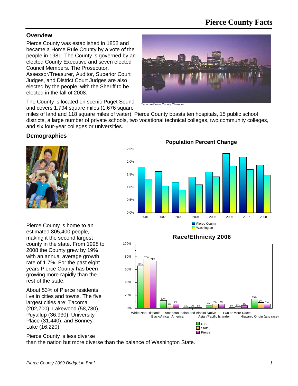### **Pierce County Facts**

#### **Overview**

Pierce County was established in 1852 and became a Home Rule County by a vote of the people in 1981. The County is governed by an elected County Executive and seven elected Council Members. The Prosecutor,

Assessor/Treasurer, Auditor, Superior Court Judges, and District Court Judges are also elected by the people, with the Sheriff to be elected in the fall of 2008.

The County is located on scenic Puget Sound and covers 1,794 square miles (1,676 square



a-Pierce County Chambe

miles of land and 118 square miles of water). Pierce County boasts ten hospitals, 15 public school districts, a large number of private schools, two vocational technical colleges, two community colleges, and six four-year colleges or universities.

#### **Demographics**



Pierce County is home to an estimated 805,400 people, making it the second largest county in the state. From 1998 to 2008 the County grew by 19% with an annual average growth rate of 1.7%. For the past eight years Pierce County has been growing more rapidly than the rest of the state.

About 53% of Pierce residents live in cities and towns. The five largest cities are: Tacoma (202,700), Lakewood (58,780), Puyallup (36,930), University Place (31,440), and Bonney Lake (16,220).



#### **Race/Ethnicity 2006**



Pierce County is less diverse than the nation but more diverse than the balance of Washington State.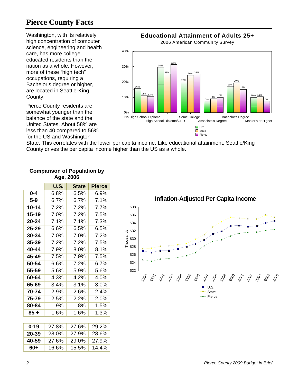### **Pierce County Facts**

Washington, with its relatively high concentration of computer science, engineering and health care, has more college educated residents than the nation as a whole. However, more of these "high tech" occupations, requiring a Bachelor's degree or higher, are located in Seattle-King County.

Pierce County residents are somewhat younger than the balance of the state and the United States. About 58% are less than 40 compared to 56% for the US and Washington



State. This correlates with the lower per capita income. Like educational attainment, Seattle/King County drives the per capita income higher than the US as a whole.

|           | <b>U.S.</b> | <b>State</b> | <b>Pierce</b> |
|-----------|-------------|--------------|---------------|
| $0 - 4$   | 6.8%        | 6.5%         | 6.9%          |
| $5-9$     | 6.7%        | 6.7%         | 7.1%          |
| $10 - 14$ | 7.2%        | 7.2%         | 7.7%          |
| 15-19     | 7.0%        | 7.2%         | $7.5\%$       |
| 20-24     | 7.1%        | 7.1%         | 7.3%          |
| 25-29     | 6.6%        | 6.5%         | 6.5%          |
| 30-34     | 7.0%        | 7.0%         | 7.2%          |
| 35-39     | 7.2%        | 7.2%         | 7.5%          |
| 40-44     | 7.9%        | $8.0\%$      | 8.1%          |
| 45-49     | 7.5%        | 7.9%         | 7.5%          |
| 50-54     | $6.6\%$     | 7.2%         | 6.7%          |
| 55-59     | 5.6%        | 5.9%         | 5.6%          |
| 60-64     | 4.3%        | 4.2%         | 4.0%          |
| 65-69     | 3.4%        | 3.1%         | 3.0%          |
| 70-74     | 2.9%        | 2.6%         | 2.4%          |
| 75-79     | 2.5%        | $2.2\%$      | $2.0\%$       |
| 80-84     | 1.9%        | 1.8%         | 1.5%          |
| 85 +      | 1.6%        | 1.6%         | 1.3%          |
|           |             |              |               |
| $0 - 19$  | 27.8%       | 27.6%        | 29.2%         |
| 20-39     | 28.0%       | 27.9%        | 28.6%         |
| 40-59     | 27.6%       | 29.0%        | 27.9%         |
| 60+       | 16.6%       | 15.5%        | 14.4%         |

#### **Comparison of Population by Age, 2006**

**Inflation-Adjusted Per Capita Income** \$38 \$36 \$34 \$32 Thousands Thousands \$30 \$28 \$26 \$24 \$22 1996 1991 1994 1998 1990  $\mathcal{S}^{\mathcal{S}}$  $\hat{e}$ 29 29 29 29 29 1991 ್ರ್ಯ U.S.  $\leftarrow$  State  $\leftarrow$  Pierce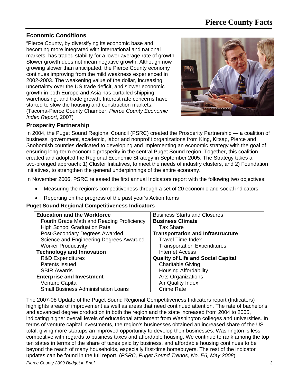#### **Economic Conditions**

"Pierce County, by diversifying its economic base and becoming more integrated with international and national markets, has traded stability for a lower average rate of growth. Slower growth does not mean negative growth. Although now growing slower than anticipated, the Pierce County economy continues improving from the mild weakness experienced in 2002-2003. The weakening value of the dollar, increasing uncertainty over the US trade deficit, and slower economic growth in both Europe and Asia has curtailed shipping, warehousing, and trade growth. Interest rate concerns have started to slow the housing and construction markets." (Tacoma-Pierce County Chamber, *Pierce County Economic Index Report*, 2007)



#### **Prosperity Partnership**

In 2004, the Puget Sound Regional Council (PSRC) created the Prosperity Partnership — a coalition of business, government, academic, labor and nonprofit organizations from King, Kitsap, Pierce and Snohomish counties dedicated to developing and implementing an economic strategy with the goal of ensuring long-term economic prosperity in the central Puget Sound region. Together, this coalition created and adopted the Regional Economic Strategy in September 2005. The Strategy takes a two-pronged approach: 1) Cluster Initiatives, to meet the needs of industry clusters, and 2) Foundation Initiatives, to strengthen the general underpinnings of the entire economy.

In November 2006, PSRC released the first annual Indicators report with the following two objectives:

- Measuring the region's competitiveness through a set of 20 economic and social indicators
- Reporting on the progress of the past year's Action Items

#### **Puget Sound Regional Competitiveness Indicators**

| <b>Education and the Workforce</b>         | <b>Business Starts and Closures</b>       |
|--------------------------------------------|-------------------------------------------|
| Fourth Grade Math and Reading Proficiency  | <b>Business Climate</b>                   |
| <b>High School Graduation Rate</b>         | <b>Tax Share</b>                          |
| Post-Secondary Degrees Awarded             | <b>Transportation and Infrastructure</b>  |
| Science and Engineering Degrees Awarded    | <b>Travel Time Index</b>                  |
| <b>Worker Productivity</b>                 | <b>Transportation Expenditures</b>        |
| <b>Technology and Innovation</b>           | Internet Access                           |
| <b>R&amp;D Expenditures</b>                | <b>Quality of Life and Social Capital</b> |
| <b>Patents Issued</b>                      | <b>Charitable Giving</b>                  |
| <b>SBIR Awards</b>                         | <b>Housing Affordability</b>              |
| <b>Enterprise and Investment</b>           | <b>Arts Organizations</b>                 |
| <b>Venture Capital</b>                     | Air Quality Index                         |
| <b>Small Business Administration Loans</b> | <b>Crime Rate</b>                         |

The 2007-08 Update of the Puget Sound Regional Competitiveness Indicators report (Indicators) highlights areas of improvement as well as areas that need continued attention. The rate of bachelor's and advanced degree production in both the region and the state increased from 2004 to 2005, indicating higher overall levels of educational attainment from Washington colleges and universities. In terms of venture capital investments, the region's businesses obtained an increased share of the US total, giving more startups an improved opportunity to develop their businesses. Washington is less competitive with regards to business taxes and affordable housing. We continue to rank among the top ten states in terms of the share of taxes paid by business, and affordable housing continues to be beyond the reach of many households, especially first-time homebuyers. The rest of the indicator updates can be found in the full report. (*PSRC, Puget Sound Trends, No. E6, May 2008*)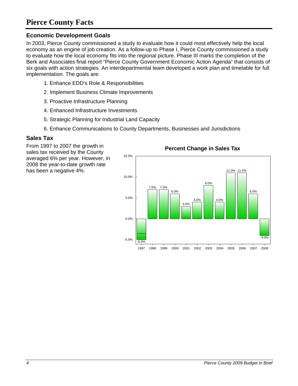### **Pierce County Facts**

#### **Economic Development Goals**

In 2003, Pierce County commissioned a study to evaluate how it could most effectively help the local economy as an engine of job creation. As a follow-up to Phase I, Pierce County commissioned a study to evaluate how the local economy fits into the regional picture. Phase III marks the completion of the Berk and Associates final report "Pierce County Government Economic Action Agenda" that consists of six goals with action strategies. An interdepartmental team developed a work plan and timetable for full implementation. The goals are:

- 1. Enhance EDD's Role & Responsibilities
- 2. Implement Business Climate Improvements
- 3. Proactive Infrastructure Planning
- 4. Enhanced Infrastructure Investments
- 5. Strategic Planning for Industrial Land Capacity
- 6. Enhance Communications to County Departments, Businesses and Jurisdictions

#### **Sales Tax**

From 1997 to 2007 the growth in sales tax received by the County averaged 6% per year. However, in 2008 the year-to-date growth rate has been a negative 4%.



#### **Percent Change in Sales Tax**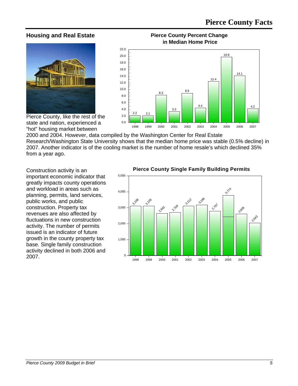#### **Housing and Real Estate**



**Pierce County Percent Change in Median Home Price**



Pierce County, like the rest of the state and nation, experienced a "hot" housing market between

2000 and 2004. However, data compiled by the Washington Center for Real Estate Research/Washington State University shows that the median home price was stable (0.5% decline) in 2007. Another indicator is of the cooling market is the number of home resale's which declined 35% from a year ago.

Construction activity is an important economic indicator that greatly impacts county operations and workload in areas such as planning, permits, land services, public works, and public construction. Property tax revenues are also affected by fluctuations in new construction activity. The number of permits issued is an indicator of future growth in the county property tax base. Single family construction activity declined in both 2006 and 2007.

#### **Pierce County Single Family Building Permits**

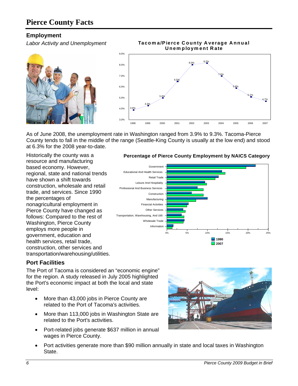### **Pierce County Facts**

#### **Employment**

*Labor Activity and Unemployment* 





As of June 2008, the unemployment rate in Washington ranged from 3.9% to 9.3%. Tacoma-Pierce County tends to fall in the middle of the range (Seattle-King County is usually at the low end) and stood at 6.3% for the 2008 year-to-date.

Historically the county was a resource and manufacturing based economy. However, regional, state and national trends have shown a shift towards construction, wholesale and retail trade, and services. Since 1990 the percentages of nonagricultural employment in Pierce County have changed as follows: Compared to the rest of Washington, Pierce County employs more people in government, education and health services, retail trade, construction, other services and transportation/warehousing/utilities.

#### **Percentage of Pierce County Employment by NAICS Category**



#### **Port Facilities**

The Port of Tacoma is considered an "economic engine" for the region. A study released in July 2005 highlighted the Port's economic impact at both the local and state level:

- More than 43,000 jobs in Pierce County are related to the Port of Tacoma's activities.
- More than 113,000 jobs in Washington State are related to the Port's activities.
- Port-related jobs generate \$637 million in annual wages in Pierce County.



• Port activities generate more than \$90 million annually in state and local taxes in Washington State.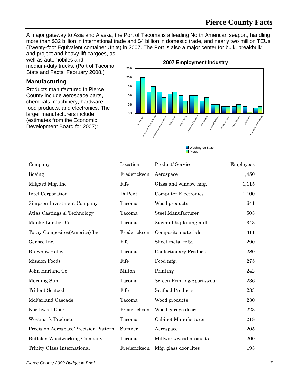A major gateway to Asia and Alaska, the Port of Tacoma is a leading North American seaport, handling more than \$32 billion in international trade and \$4 billion in domestic trade, and nearly two million TEUs (Twenty-foot Equivalent container Units) in 2007. The Port is also a major center for bulk, breakbulk and project and heavy-lift cargoes, as

well as automobiles and medium-duty trucks. (Port of Tacoma Stats and Facts, February 2008.)

#### **Manufacturing**

Products manufactured in Pierce County include aerospace parts, chemicals, machinery, hardware, food products, and electronics. The larger manufacturers include (estimates from the Economic Development Board for 2007):



**Washington State Pierce** 

| Company                               | Location     | Product/Service             | Employees |
|---------------------------------------|--------------|-----------------------------|-----------|
| Boeing                                | Frederickson | Aerospace                   | 1,450     |
| Milgard Mfg. Inc                      | Fife         | Glass and window mfg.       | 1,115     |
| Intel Corporation                     | DuPont       | <b>Computer Electronics</b> | 1,100     |
| Simpson Investment Company            | Tacoma       | Wood products               | 641       |
| Atlas Castings & Technology           | Tacoma       | Steel Manufacturer          | 503       |
| Manke Lumber Co.                      | Tacoma       | Sawmill & planing mill      | 343       |
| Toray Composites(America) Inc.        | Frederickson | Composite materials         | 311       |
| Gensco Inc.                           | Fife         | Sheet metal mfg.            | 290       |
| Brown & Haley                         | Tacoma       | Confectionary Products      | 280       |
| <b>Mission Foods</b>                  | Fife         | Food mfg.                   | 275       |
| John Harland Co.                      | Milton       | Printing                    | 242       |
| Morning Sun                           | Tacoma       | Screen Printing/Sportswear  | 236       |
| <b>Trident Seafood</b>                | Fife         | <b>Seafood Products</b>     | 233       |
| McFarland Cascade                     | Tacoma       | Wood products               | 230       |
| Northwest Door                        | Frederickson | Wood garage doors           | 223       |
| <b>Westmark Products</b>              | Tacoma       | Cabinet Manufacturer        | 218       |
| Precision Aerospace/Precision Pattern | Sumner       | Aerospace                   | 205       |
| Buffelen Woodworking Company          | Tacoma       | Millwork/wood products      | 200       |
| Trinity Glass International           | Frederickson | Mfg. glass door lites       | 193       |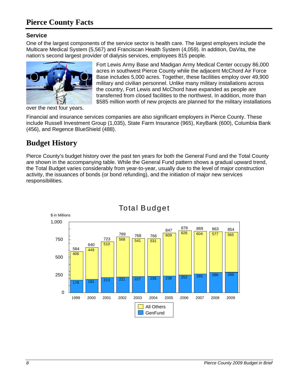### **Pierce County Facts**

#### **Service**

One of the largest components of the service sector is health care. The largest employers include the Multicare Medical System (5,567) and Franciscan Health System (4,059). In addition, DaVita, the nation's second largest provider of dialysis services, employees 815 people.



over the next four years.

Fort Lewis Army Base and Madigan Army Medical Center occupy 86,000 acres in southwest Pierce County while the adjacent McChord Air Force Base includes 5,000 acres. Together, these facilities employ over 49,900 military and civilian personnel. Unlike many military installations across the country, Fort Lewis and McChord have expanded as people are transferred from closed facilities to the northwest. In addition, more than \$585 million worth of new projects are planned for the military installations

Financial and insurance services companies are also significant employers in Pierce County. These include Russell Investment Group (1,035), State Farm Insurance (965), KeyBank (600), Columbia Bank (456), and Regence BlueShield (488).

### **Budget History**

Pierce County's budget history over the past ten years for both the General Fund and the Total County are shown in the accompanying table. While the General Fund pattern shows a gradual upward trend, the Total Budget varies considerably from year-to-year, usually due to the level of major construction activity, the issuances of bonds (or bond refunding), and the initiation of major new services responsibilities.

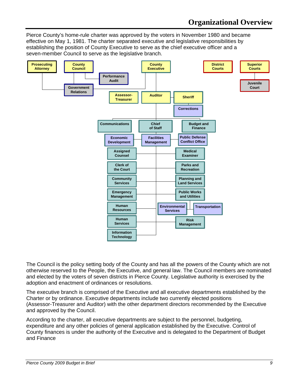Pierce County's home-rule charter was approved by the voters in November 1980 and became effective on May 1, 1981. The charter separated executive and legislative responsibilities by establishing the position of County Executive to serve as the chief executive officer and a seven-member Council to serve as the legislative branch.



The Council is the policy setting body of the County and has all the powers of the County which are not otherwise reserved to the People, the Executive, and general law. The Council members are nominated and elected by the voters of seven districts in Pierce County. Legislative authority is exercised by the adoption and enactment of ordinances or resolutions.

The executive branch is comprised of the Executive and all executive departments established by the Charter or by ordinance. Executive departments include two currently elected positions (Assessor-Treasurer and Auditor) with the other department directors recommended by the Executive and approved by the Council.

According to the charter, all executive departments are subject to the personnel, budgeting, expenditure and any other policies of general application established by the Executive. Control of County finances is under the authority of the Executive and is delegated to the Department of Budget and Finance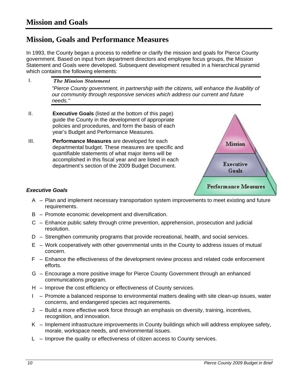### **Mission, Goals and Performance Measures**

In 1993, the County began a process to redefine or clarify the mission and goals for Pierce County government. Based on input from department directors and employee focus groups, the Mission Statement and Goals were developed. Subsequent development resulted in a hierarchical pyramid which contains the following elements:

- *The Mission Statement "Pierce County government, in partnership with the citizens, will enhance the livability of our community through responsive services which address our current and future needs."*  I.
- II. **Executive Goals** (listed at the bottom of this page) guide the County in the development of appropriate policies and procedures, and form the basis of each year's Budget and Performance Measures.
- III. **Performance Measures** are developed for each departmental budget. These measures are specific and quantifiable statements of what major items will be accomplished in this fiscal year and are listed in each department's section of the 2009 Budget Document.



#### *Executive Goals*

- A Plan and implement necessary transportation system improvements to meet existing and future requirements.
- B Promote economic development and diversification.
- C Enhance public safety through crime prevention, apprehension, prosecution and judicial resolution.
- D Strengthen community programs that provide recreational, health, and social services.
- E Work cooperatively with other governmental units in the County to address issues of mutual concern.
- F Enhance the effectiveness of the development review process and related code enforcement efforts.
- G Encourage a more positive image for Pierce County Government through an enhanced communications program.
- H Improve the cost efficiency or effectiveness of County services.
- I Promote a balanced response to environmental matters dealing with site clean-up issues, water concerns, and endangered species act requirements.
- J Build a more effective work force through an emphasis on diversity, training, incentives, recognition, and innovation.
- K Implement infrastructure improvements in County buildings which will address employee safety, morale, workspace needs, and environmental issues.
- L Improve the quality or effectiveness of citizen access to County services.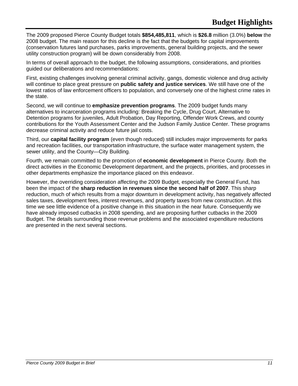The 2009 proposed Pierce County Budget totals **\$854,485,811**, which is **\$26.8** million (3.0%) **below** the 2008 budget. The main reason for this decline is the fact that the budgets for capital improvements (conservation futures land purchases, parks improvements, general building projects, and the sewer utility construction program) will be down considerably from 2008.

In terms of overall approach to the budget, the following assumptions, considerations, and priorities guided our deliberations and recommendations:

First, existing challenges involving general criminal activity, gangs, domestic violence and drug activity will continue to place great pressure on **public safety and justice services**. We still have one of the lowest ratios of law enforcement officers to population, and conversely one of the highest crime rates in the state.

Second, we will continue to **emphasize prevention programs**. The 2009 budget funds many alternatives to incarceration programs including: Breaking the Cycle, Drug Court, Alternative to Detention programs for juveniles, Adult Probation, Day Reporting, Offender Work Crews, and county contributions for the Youth Assessment Center and the Judson Family Justice Center. These programs decrease criminal activity and reduce future jail costs.

Third, our **capital facility program** (even though reduced) still includes major improvements for parks and recreation facilities, our transportation infrastructure, the surface water management system, the sewer utility, and the County—City Building.

Fourth, we remain committed to the promotion of **economic development** in Pierce County. Both the direct activities in the Economic Development department, and the projects, priorities, and processes in other departments emphasize the importance placed on this endeavor.

However, the overriding consideration affecting the 2009 Budget, especially the General Fund, has been the impact of the **sharp reduction in revenues since the second half of 2007**. This sharp reduction, much of which results from a major downturn in development activity, has negatively affected sales taxes, development fees, interest revenues, and property taxes from new construction. At this time we see little evidence of a positive change in this situation in the near future. Consequently we have already imposed cutbacks in 2008 spending, and are proposing further cutbacks in the 2009 Budget. The details surrounding those revenue problems and the associated expenditure reductions are presented in the next several sections.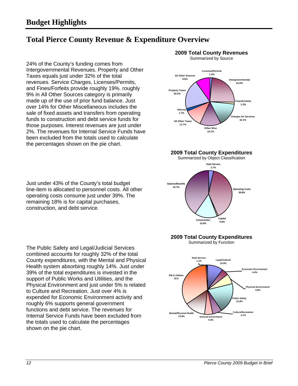### **Total Pierce County Revenue & Expenditure Overview**

24% of the County's funding comes from Intergovernmental Revenues. Property and Other Taxes equals just under 32% of the total revenues. Service Charges, Licenses/Permits, and Fines/Forfeits provide roughly 19%. roughly 9% in All Other Sources category is primarily made up of the use of prior fund balance. Just over 14% for Other Miscellaneous includes the sale of fixed assets and transfers from operating funds to construction and debt service funds for those purposes. Interest revenues are just under 2%. The revenues for Internal Service Funds have been excluded from the totals used to calculate the percentages shown on the pie chart.

#### **2009 Total County Revenues**  Summarized by Source



**2009 Total County Expenditures** 



#### **2009 Total County Expenditures**

Summarized by Function



Just under 43% of the County's total budget line-item is allocated to personnel costs. All other operating costs consume just under 39%. The remaining 18% is for capital purchases, construction, and debt service.

The Public Safety and Legal/Judicial Services combined accounts for roughly 32% of the total County expenditures, with the Mental and Physical Health system absorbing roughly 14%. Just under 39% of the total expenditures is invested in the support of Public Works and Utilities, and the Physical Environment and just under 5% is related to Culture and Recreation. Just over 4% is expended for Economic Environment activity and roughly 6% supports general government functions and debt service. The revenues for Internal Service Funds have been excluded from the totals used to calculate the percentages shown on the pie chart.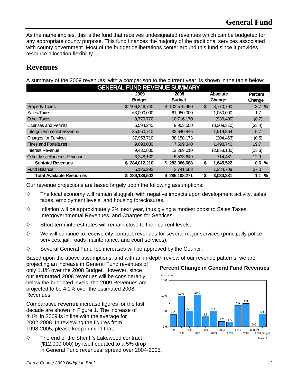As the name implies, this is the fund that receives undesignated revenues which can be budgeted for any appropriate county purpose. This fund finances the majority of the traditional services associated with county government. Most of the budget deliberations center around this fund since it provides resource allocation flexibility.

### **Revenues**

A summary of the 2009 revenues, with a comparison to the current year, is shown in the table below:

| <b>GENERAL FUND REVENUE SUMMARY</b> |               |               |                 |                |  |
|-------------------------------------|---------------|---------------|-----------------|----------------|--|
|                                     | 2009          | 2008          | <b>Absolute</b> | <b>Percent</b> |  |
|                                     | <b>Budget</b> | <b>Budget</b> | Change          | Change         |  |
| <b>Property Taxes</b>               | \$106,346,740 | \$102,575,950 | \$<br>3,770,790 | 3.7%           |  |
| Sales Taxes                         | 63,000,000    | 61,950,000    | 1,050,000       | 1.7            |  |
| <b>Other Taxes</b>                  | 9,779,770     | 10,716,170    | (936, 400)      | (8.7)          |  |
| Licenses and Permits                | 6,594,240     | 9,903,550     | (3,309,310)     | (33.4)         |  |
| Intergovernmental Revenue           | 35,560,710    | 33,640,846    | 1,919,864       | 5.7            |  |
| <b>Charges for Services</b>         | 37,953,710    | 38,158,173    | (204, 463)      | (0.5)          |  |
| <b>Fines and Forfeitures</b>        | 9,098,080     | 7,599,340     | 1,498,740       | 19.7           |  |
| Interest Revenue                    | 9,430,830     | 12,289,010    | (2,858,180)     | (23.3)         |  |
| <b>Other Miscellaneous Revenue</b>  | 6,248,130     | 5,533,649     | 714,481         | 12.9           |  |
| <b>Subtotal Revenues</b>            | \$284,012,210 | \$282,366,688 | \$<br>1,645,522 | 0.6%           |  |
| <b>Fund Balance</b>                 | 5,126,292     | 3,741,583     | 1,384,709       | 37.0           |  |
| <b>Total Available Resources</b>    | \$289,138,502 | \$286,108,271 | \$<br>3,030,231 | 1.1<br>%       |  |

Our revenue projections are based largely upon the following assumptions:

- $\diamond$  The local economy will remain sluggish, with negative impacts upon development activity, sales taxes, employment levels, and housing foreclosures.
- $\diamond$  Inflation will be approximately 3% next year, thus giving a modest boost to Sales Taxes, Intergovernmental Revenues, and Charges for Services.
- $\diamond$  Short term interest rates will remain close to their current levels.
- $\Diamond$  We will continue to receive city contract revenues for several major services (principally police services, jail, roads maintenance, and court services).
- $\diamond$  Several General Fund fee increases will be approved by the Council.

Based upon the above assumptions, and with an in-depth review of our revenue patterns, we are

projecting an increase in General Fund revenues of only 1.1% over the 2008 Budget. However, since our **estimated** 2008 revenues will be considerably below the budgeted levels, the 2009 Revenues are projected to be 4.1% over the estimated 2008 Revenues.

Comparative **revenue** increase figures for the last decade are shown in Figure 1. The increase of 4.1% in 2009 is in line with the average for 2002-2008. In reviewing the figures from 1998-2005, please keep in mind that:

 $\diamond$  The end of the Sheriff's Lakewood contract (\$12,000,000) by itself equated to a 5% drop in General Fund revenues, spread over 2004-2005.



**Percent Change in General Fund Revenues**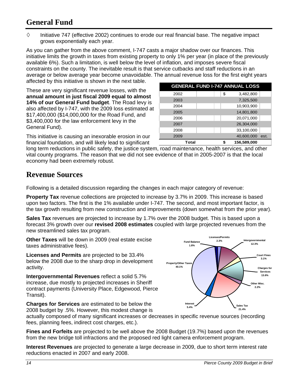### **General Fund**

 $\diamond$  Initiative 747 (effective 2002) continues to erode our real financial base. The negative impact grows exponentially each year.

As you can gather from the above comment, I-747 casts a major shadow over our finances. This initiative limits the growth in taxes from existing property to only 1% per year (in place of the previously available 6%). Such a limitation, is well below the level of inflation, and imposes severe fiscal constraints on the county. The inevitable result is that service cutbacks and staff reductions in an average or below average year become unavoidable. The annual revenue loss for the first eight years affected by this initiative is shown in the next table.

These are very significant revenue losses, with the **annual amount in just fiscal 2009 equal to almost 14% of our General Fund budget**. The Road levy is also affected by I-747, with the 2009 loss estimated at \$17,400,000 (\$14,000,000 for the Road Fund, and \$3,400,000 for the law enforcement levy in the General Fund).

This initiative is causing an inexorable erosion in our financial foundation, and will likely lead to significant

2002 | | \$ 3,482,800 2003 7,325,500 2004 | 10.903.900 2005 14,801,800 2006 20,071,000 2007 26,304,000 2008 | | 33,100,000 2009 40,600,000 est. **Total 156,589,000 \$ GENERAL FUND I-747 ANNUAL LOSS**

long term reductions in public safety, the justice system, road maintenance, health services, and other vital county programs. The reason that we did not see evidence of that in 2005-2007 is that the local economy had been extremely robust.

#### **Revenue Sources**

Following is a detailed discussion regarding the changes in each major category of revenue:

**Property Tax** revenue collections are projected to increase by 3.7% in 2009. This increase is based upon two factors. The first is the 1% available under I-747. The second, and most important factor, is the tax growth resulting from new construction and improvements (down somewhat from the prior year).

**Sales Tax** revenues are projected to increase by 1.7% over the 2008 budget. This is based upon a forecast 3% growth over our **revised 2008 estimates** coupled with large projected revenues from the new streamlined sales tax program.

**Other Taxes** will be down in 2009 (real estate excise taxes administrative fees).

**Licenses and Permits** are projected to be 33.4% below the 2008 due to the sharp drop in development activity.

**Intergovernmental Revenues** reflect a solid 5.7% increase, due mostly to projected increases in Sheriff contract payments (University Place, Edgewood, Pierce Transit).

**Charges for Services** are estimated to be below the 2008 budget by .5%. However, this modest change is

actually composed of many significant increases or decreases in specific revenue sources (recording fees, planning fees, indirect cost charges, etc.).

**Fines and Forfeits** are projected to be well above the 2008 Budget (19.7%) based upon the revenues from the new bridge toll infractions and the proposed red light camera enforcement program.

**Interest Revenues** are projected to generate a large decrease in 2009, due to short term interest rate reductions enacted in 2007 and early 2008.

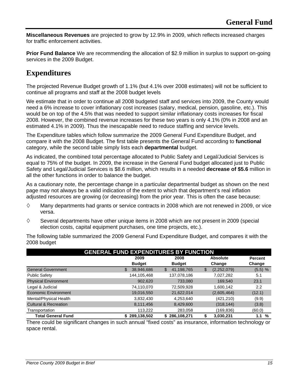**Miscellaneous Revenues** are projected to grow by 12.9% in 2009, which reflects increased charges for traffic enforcement activities.

**Prior Fund Balance** We are recommending the allocation of \$2.9 million in surplus to support on-going services in the 2009 Budget.

### **Expenditures**

The projected Revenue Budget growth of 1.1% (but 4.1% over 2008 estimates) will not be sufficient to continue all programs and staff at the 2008 budget levels

We estimate that in order to continue all 2008 budgeted staff and services into 2009, the County would need a 6% increase to cover inflationary cost increases (salary, medical, pension, gasoline, etc.). This would be on top of the 4.5% that was needed to support similar inflationary costs increases for fiscal 2008. However, the combined revenue increases for these two years is only 4.1% (0% in 2008 and an estimated 4.1% in 2009). Thus the inescapable need to reduce staffing and service levels.

The Expenditure tables which follow summarize the 2009 General Fund Expenditure Budget, and compare it with the 2008 Budget. The first table presents the General Fund according to **functional** category, while the second table simply lists each **departmental** budget.

As indicated, the combined total percentage allocated to Public Safety and Legal/Judicial Services is equal to 75% of the budget. In 2009, the increase in the General Fund budget allocated just to Public Safety and Legal/Judicial Services is \$8.6 million, which results in a needed **decrease of \$5.6** million in all the other functions in order to balance the budget.

As a cautionary note, the percentage change in a particular departmental budget as shown on the next page may not always be a valid indication of the extent to which that department's real inflation adjusted resources are growing (or decreasing) from the prior year. This is often the case because:

- $\diamond$  Many departments had grants or service contracts in 2008 which are not renewed in 2009, or vice versa.
- $\diamond$  Several departments have other unique items in 2008 which are not present in 2009 (special election costs, capital equipment purchases, one time projects, etc.).

The following table summarized the 2009 General Fund Expenditure Budget, and compares it with the 2008 budget

| <b>GENERAL FUND EXPENDITURES BY FUNCTION</b> |                  |                  |                   |                |  |
|----------------------------------------------|------------------|------------------|-------------------|----------------|--|
|                                              | 2009             | 2008             | <b>Absolute</b>   | <b>Percent</b> |  |
|                                              | <b>Budget</b>    | <b>Budget</b>    | Change            | Change         |  |
| <b>General Government</b>                    | \$<br>38,946,686 | \$<br>41,198,765 | (2,252,079)<br>\$ | $(5.5)$ %      |  |
| <b>Public Safety</b>                         | 144,105,468      | 137,078,186      | 7,027,282         | 5.1            |  |
| <b>Physical Environment</b>                  | 902,620          | 733,080          | 169.540           | 23.1           |  |
| Legal & Judicial                             | 74,110,070       | 72,509,928       | 1,600,142         | 2.2            |  |
| Economic Environment                         | 19,016,550       | 21,622,014       | (2,605,464)       | (12.1)         |  |
| Mental/Physical Health                       | 3,832,430        | 4,253,640        | (421, 210)        | (9.9)          |  |
| <b>Cultural &amp; Recreation</b>             | 8,111,456        | 8,429,600        | (318, 144)        | (3.8)          |  |
| Transportation                               | 113,222          | 283,058          | (169,836)         | (60.0)         |  |
| <b>Total General Fund</b>                    | 289,138,502      | 286,108,271<br>S | 3,030,231<br>S    | %<br>1.1       |  |

There could be significant changes in such annual "fixed costs" as insurance, information technology or space rental.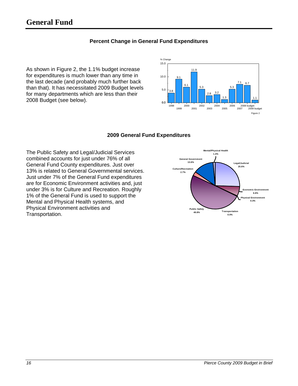### **General Fund**

#### **Percent Change in General Fund Expenditures**

As shown in Figure 2, the 1.1% budget increase for expenditures is much lower than any time in the last decade (and probably much further back than that). It has necessitated 2009 Budget levels for many departments which are less than their 2008 Budget (see below).



#### **2009 General Fund Expenditures**

The Public Safety and Legal/Judicial Services combined accounts for just under 76% of all General Fund County expenditures. Just over 13% is related to General Governmental services. Just under 7% of the General Fund expenditures are for Economic Environment activities and, just under 3% is for Culture and Recreation. Roughly 1% of the General Fund is used to support the Mental and Physical Health systems, and Physical Environment activities and Transportation.

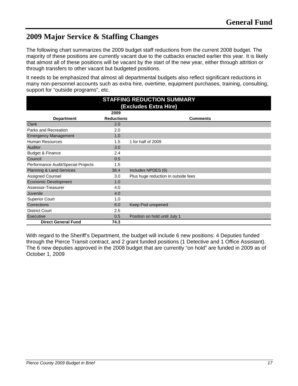### **2009 Major Service & Staffing Changes**

The following chart summarizes the 2009 budget staff reductions from the current 2008 budget. The majority of these positions are currently vacant due to the cutbacks enacted earlier this year. It is likely that almost all of these positions will be vacant by the start of the new year, either through attrition or through transfers to other vacant but budgeted positions.

It needs to be emphasized that almost all departmental budgets also reflect significant reductions in many non-personnel accounts such as extra hire, overtime, equipment purchases, training, consulting, support for "outside programs", etc.

| <b>STAFFING REDUCTION SUMMARY</b>  |                   |                                     |  |  |
|------------------------------------|-------------------|-------------------------------------|--|--|
| (Excludes Extra Hire)              |                   |                                     |  |  |
|                                    | 2009              |                                     |  |  |
| <b>Department</b>                  | <b>Reductions</b> | <b>Comments</b>                     |  |  |
| <b>Clerk</b>                       | 2.0               |                                     |  |  |
| Parks and Recreation               | 2.0               |                                     |  |  |
| <b>Emergency Management</b>        | 1.0               |                                     |  |  |
| <b>Human Resources</b>             | 1.5               | 1 for half of 2009                  |  |  |
| Auditor                            | 3.0               |                                     |  |  |
| Budget & Finance                   | 2.4               |                                     |  |  |
| Council                            | 0.5               |                                     |  |  |
| Performance Audit/Special Projects | 1.5               |                                     |  |  |
| Planning & Land Services           | 38.4              | Includes NPDES (6)                  |  |  |
| <b>Assigned Counsel</b>            | 3.0               | Plus huge reduction in outside fees |  |  |
| <b>Economic Development</b>        | 1.0               |                                     |  |  |
| Assessor-Treasurer                 | 4.0               |                                     |  |  |
| Juvenile                           | 4.0               |                                     |  |  |
| <b>Superior Court</b>              | 1.0               |                                     |  |  |
| Corrections                        | 6.0               | Keep Pod unopened                   |  |  |
| <b>District Court</b>              | 2.5               |                                     |  |  |
| Executive                          | 0.5               | Position on hold until July 1       |  |  |
| <b>Direct General Fund</b><br>74.3 |                   |                                     |  |  |

With regard to the Sheriff's Department, the budget will include 6 new positions: 4 Deputies funded through the Pierce Transit contract, and 2 grant funded positions (1 Detective and 1 Office Assistant). The 6 new deputies approved in the 2008 budget that are currently "on hold" are funded in 2009 as of October 1, 2009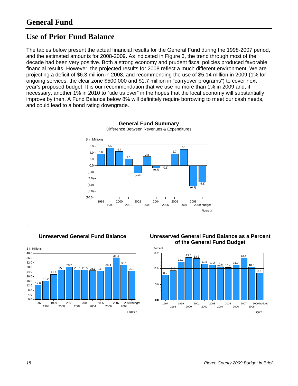### **Use of Prior Fund Balance**

The tables below present the actual financial results for the General Fund during the 1998-2007 period, and the estimated amounts for 2008-2009. As indicated in Figure 3, the trend through most of the decade had been very positive. Both a strong economy and prudent fiscal policies produced favorable financial results. However, the projected results for 2008 reflect a much different environment. We are projecting a deficit of \$6.3 million in 2008, and recommending the use of \$5.14 million in 2009 (1% for ongoing services, the clear zone \$500,000 and \$1.7 million in "carryover programs") to cover next year's proposed budget. It is our recommendation that we use no more than 1% in 2009 and, if necessary, another 1% in 2010 to "tide us over" in the hopes that the local economy will substantially improve by then. A Fund Balance below 8% will definitely require borrowing to meet our cash needs, and could lead to a bond rating downgrade.



**General Fund Summary**  Difference Between Revenues & Expenditures







.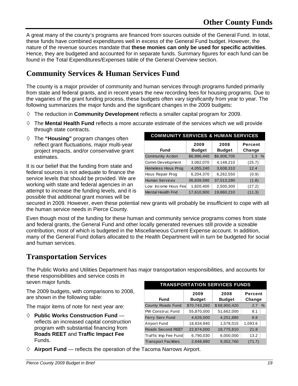A great many of the county's programs are financed from sources outside of the General Fund. In total, these funds have combined expenditures well in excess of the General Fund budget. However, the nature of the revenue sources mandate that **these monies can only be used for specific activities**. Hence, they are budgeted and accounted for in separate funds. Summary figures for each fund can be found in the Total Expenditures/Expenses table of the General Overview section.

### **Community Services & Human Services Fund**

The county is a major provider of community and human services through programs funded primarily from state and federal grants, and in recent years the new recording fees for housing programs. Due to the vagaries of the grant funding process, these budgets often vary significantly from year to year. The following summarizes the major funds and the significant changes in the 2009 budgets:

- $\diamond$  The reduction in **Community Development** reflects a smaller capital program for 2009.
- The **Mental Health Fund** reflects a more accurate estimate of the services which we will provide through state contracts.
- The **"Housing"** program changes often reflect grant fluctuations, major multi-year project impacts, and/or conservative grant estimates.

It is our belief that the funding from state and federal sources is not adequate to finance the service levels that should be provided. We are working with state and federal agencies in an attempt to increase the funding levels, and it is possible that additional grant monies will be

| <b>COMMUNITY SERVICES &amp; HUMAN SERVICES</b> |                       |                       |                   |  |  |
|------------------------------------------------|-----------------------|-----------------------|-------------------|--|--|
| <b>Fund</b>                                    | 2009<br><b>Budget</b> | 2008<br><b>Budget</b> | Percent<br>Change |  |  |
| <b>Community Action</b>                        | \$6,996,440           | \$6,908,705           | 1.3%              |  |  |
| Comm Development                               | 3,082,070             | 4,148,210             | (25.7)            |  |  |
| Homeless Hous Prog                             | 4,055,240             | 3,608,310             | 12.4              |  |  |
| Hous Repair Prog                               | 6,204,370             | 6,262,550             | (0.9)             |  |  |
| <b>Human Services</b>                          | 36,839,590            | 37,513,290            | (1.8)             |  |  |
| Low Income Hous Fee                            | 1,820,400             | 2,500,300             | (27.2)            |  |  |
| <b>Mental Health Fnd</b>                       | 17,610,900            | 19,860,210            | (11.3)            |  |  |

secured in 2009. However, even these potential new grants will probably be insufficient to cope with all the human service needs in Pierce County.

Even though most of the funding for these human and community service programs comes from state and federal grants, the General Fund and other locally generated revenues still provide a sizeable contribution, most of which is budgeted in the Miscellaneous Current Expense account. In addition, many of the General Fund dollars allocated to the Health Department will in turn be budgeted for social and human services.

#### **Transportation Services**

The Public Works and Utilities Department has major transportation responsibilities, and accounts for these responsibilities and service costs in seven major funds.

The 2009 budgets, with comparisons to 2008, are shown in the following table:

The major items of note for next year are:

 **Public Works Construction Fund**  reflects an increased capital construction program with substantial financing from **Roads REET** and **Traffic Impact Fee** Funds.

#### **TRANSPORTATION SERVICES FUNDS**

| <b>Fund</b>                 | 2009<br><b>Budget</b> | 2008<br><b>Budget</b> | Percent<br>Change |  |  |  |
|-----------------------------|-----------------------|-----------------------|-------------------|--|--|--|
| <b>County Roads Fund</b>    | \$70,743,260          | \$68,900,420          | 2.7<br>$\%$       |  |  |  |
| <b>PW Construc Fund</b>     | 55,870,000            | 51,662,000            | 8.1               |  |  |  |
| Ferry Serv Fund             | 4,626,000             | 4,251,880             | 8.8               |  |  |  |
| Airport Fund                | 18,834,940            | 1,578,015             | 1,093.6           |  |  |  |
| <b>Roads Second REET</b>    | 22,874,000            | 18,775,810            | 21.8              |  |  |  |
| Traffic Imp Fee Fund        | 6,790,030             | 6,000,000             | 13.2              |  |  |  |
| <b>Transport Facilities</b> | 2,648,880             | 9,352,760             | (71.7)            |  |  |  |

**Airport Fund** — reflects the operation of the Tacoma Narrows Airport.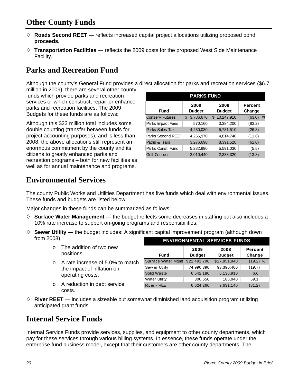### **Other County Funds**

- $\Diamond$  **Roads Second REET** reflects increased capital project allocations utilizing proposed bond **proceeds.**
- **Transportation Facilities**  reflects the 2009 costs for the proposed West Side Maintenance Facility.

### **Parks and Recreation Fund**

Although the county's General Fund provides a direct allocation for parks and recreation services (\$6.7

million in 2009), there are several other county funds which provide parks and recreation services or which construct, repair or enhance parks and recreation facilities. The 2009 Budgets for these funds are as follows:

Although this \$23 million total includes some double counting (transfer between funds for project accounting purposes), and is less than 2008, the above allocations still represent an enormous commitment by the county and its citizens to greatly enhanced parks and recreation programs – both for new facilities as well as for annual maintenance and programs.

| <b>PARKS FUND</b>                                                                  |                 |                   |                         |  |  |
|------------------------------------------------------------------------------------|-----------------|-------------------|-------------------------|--|--|
| 2008<br>2009<br><b>Percent</b><br><b>Budget</b><br>Fund<br><b>Budget</b><br>Change |                 |                   |                         |  |  |
| <b>Consery Futures</b>                                                             | 3,786,670<br>\$ | 10,247,910<br>\$. | $\frac{0}{6}$<br>(63.0) |  |  |
| Parks Impact Fees                                                                  | 570,160         | 3,384,200         | (83.2)                  |  |  |
| Parks Sales Tax                                                                    | 4,230,030       | 5,781,510         | (26.8)                  |  |  |
| Parks Second REET                                                                  | 4,256,970       | 4,814,740         | (11.6)                  |  |  |
| Paths & Trails                                                                     | 3,276,690       | 8,391,520         | (61.0)                  |  |  |
| Parks Const. Fund                                                                  | 5,282,990       | 5,591,030         | (5.5)                   |  |  |
| <b>Golf Courses</b>                                                                | 2.010.440       | 2,333,320         | (13.8)                  |  |  |

### **Environmental Services**

The county Public Works and Utilities Department has five funds which deal with environmental issues. These funds and budgets are listed below:

Major changes in these funds can be summarized as follows:

- $\diamond$  **Surface Water Management** the budget reflects some decreases in staffing but also includes a 10% rate increase to support on-going programs and responsibilities.
- $\diamond$  **Sewer Utility** the budget includes: A significant capital improvement program (although down from 2008).

| ZUUOI.   |                                       | <b>ENVIRONMENTAL SERVICES FUNDS</b> |               |               |            |
|----------|---------------------------------------|-------------------------------------|---------------|---------------|------------|
| $\circ$  | The addition of two new<br>positions. |                                     | 2009          | 2008          | Percent    |
|          |                                       | <b>Fund</b>                         | <b>Budget</b> | <b>Budget</b> | Change     |
| $\Omega$ | A rate increase of 5.0% to match      | Surface Water Mgmt                  | \$22,491,790  | \$27,851,940  | $(19.2)$ % |
|          | the impact of inflation on            | Sew er Utility                      | 74,990,390    | 93,390,400    | (19.7)     |
|          | operating costs.                      | Solid Waste                         | 6,542,180     | 6,136,910     | 6.6        |
|          |                                       | <b>Water Utility</b>                | 300,650       | 188,940       | 59.1       |
| $\Omega$ | A reduction in debt service           | River - REET                        | 6,624,260     | 9,631,140     | (31.2)     |
|          | costs.                                |                                     |               |               |            |

 $\Diamond$  **River REET** — includes a sizeable but somewhat diminished land acquisition program utilizing anticipated grant funds.

### **Internal Service Funds**

Internal Service Funds provide services, supplies, and equipment to other county departments, which pay for these services through various billing systems. In essence, these funds operate under the enterprise fund business model, except that their customers are other county departments. The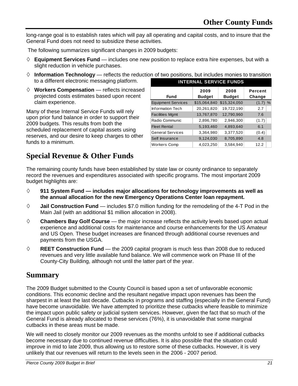long-range goal is to establish rates which will pay all operating and capital costs, and to insure that the General Fund does not need to subsidize these activities.

The following summarizes significant changes in 2009 budgets:

- $\Diamond$  **Equipment Services Fund** includes one new position to replace extra hire expenses, but with a slight reduction in vehicle purchases.
- $\Diamond$  **Information Technology** reflects the reduction of two positions, but includes monies to transition to a different electronic messaging platform.
- **Workers Compensation**  reflects increased projected costs estimates based upon recent claim experience.

Many of these Internal Service Funds will rely upon prior fund balance in order to support their 2009 budgets. This results from both the scheduled replacement of capital assets using reserves, and our desire to keep charges to other funds to a minimum.

| <b>INTERNAL SERVICE FUNDS</b>                                                      |              |              |           |  |  |  |  |
|------------------------------------------------------------------------------------|--------------|--------------|-----------|--|--|--|--|
| 2009<br>2008<br>Percent<br><b>Fund</b><br><b>Budget</b><br><b>Budget</b><br>Change |              |              |           |  |  |  |  |
| <b>Equipment Services</b>                                                          | \$15,064,840 | \$15,324,050 | $(1.7)$ % |  |  |  |  |
| <b>Information Tech</b>                                                            | 20,261,820   | 19,722,190   | 2.7       |  |  |  |  |
| <b>Facilities Mgmt</b>                                                             | 13,767,870   | 12,790,960   | 7.6       |  |  |  |  |
| Radio Communic                                                                     | 2,896,780    | 2,946,300    | (1.7)     |  |  |  |  |
| <b>Fleet Rental</b>                                                                | 5,193,460    | 4,893,640    | 6.1       |  |  |  |  |
| <b>General Services</b>                                                            | 3,364,980    | 3,377,520    | (0.4)     |  |  |  |  |
| Self Insurance                                                                     | 9,124,030    | 8,705,890    | 4.8       |  |  |  |  |
| <b>Workers Comp</b>                                                                | 4,023,250    | 3.584.940    | 12.2      |  |  |  |  |

### **Special Revenue & Other Funds**

The remaining county funds have been established by state law or county ordinance to separately record the revenues and expenditures associated with specific programs. The most important 2009 budget highlights are:

- **911 System Fund includes major allocations for technology improvements as well as the annual allocation for the new Emergency Operations Center loan repayment.**
- **Jail Construction Fund**  includes \$7.0 million funding for the remodeling of the 4-T Pod in the Main Jail (with an additional \$1 million allocation in 2008).
- **Chambers Bay Golf Course**  the major increase reflects the activity levels based upon actual experience and additional costs for maintenance and course enhancements for the US Amateur and US Open. These budget increases are financed through additional course revenues and payments from the USGA.
- **REET Construction Fund**  the 2009 capital program is much less than 2008 due to reduced revenues and very little available fund balance. We will commence work on Phase III of the County-City Building, although not until the latter part of the year.

#### **Summary**

The 2009 Budget submitted to the County Council is based upon a set of unfavorable economic conditions. This economic decline and the resultant negative impact upon revenues has been the sharpest in at least the last decade. Cutbacks in programs and staffing (especially in the General Fund) have become unavoidable. We have attempted to prioritize these cutbacks where feasible to minimize the impact upon public safety or judicial system services. However, given the fact that so much of the General Fund is already allocated to these services (76%), it is unavoidable that some marginal cutbacks in these areas must be made.

We will need to closely monitor our 2009 revenues as the months unfold to see if additional cutbacks become necessary due to continued revenue difficulties. It is also possible that the situation could improve in mid to late 2009, thus allowing us to restore some of these cutbacks. However, it is very unlikely that our revenues will return to the levels seen in the 2006 - 2007 period.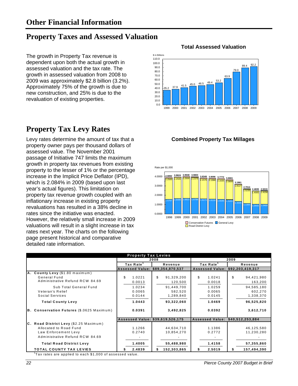### **Property Taxes and Assessed Valuation**

The growth in Property Tax revenue is dependent upon both the actual growth in assessed valuation and the tax rate. The growth in assessed valuation from 2008 to 2009 was approximately \$2.8 billion (3.2%). Approximately 75% of the growth is due to new construction, and 25% is due to the revaluation of existing properties.

### **Property Tax Levy Rates**

Levy rates determine the amount of tax that a **Combined Property Tax Millages**  property owner pays per thousand dollars of assessed value. The November 2001 passage of Initiative 747 limits the maximum growth in property tax revenues from existing property to the lesser of 1% or the percentage increase in the Implicit Price Deflator (IPD), which is 2.084% in 2009 (based upon last year's actual figures). This limitation on property tax revenue growth coupled with an inflationary increase in existing property revaluations has resulted in a 38% decline in rates since the initiative was enacted. However, the relatively small increase in 2009 valuations will result in a slight increase in tax rates next year. The charts on the following page present historical and comparative detailed rate information.

#### **Total Assessed Valuation**





|                                           | <b>Property Tax Levies</b> |      |                                  |                                  |         |                  |  |  |
|-------------------------------------------|----------------------------|------|----------------------------------|----------------------------------|---------|------------------|--|--|
|                                           |                            | 2008 |                                  |                                  | 2009    |                  |  |  |
|                                           | Tax Rate <sup>1</sup>      |      | Revenue                          | Tax Rate <sup>1</sup>            | Revenue |                  |  |  |
|                                           |                            |      | Assessed Value: \$89,354,870,537 | Assessed Value: \$92,203,419,317 |         |                  |  |  |
| A. County Levy (\$1.80 maximum)           |                            |      |                                  |                                  |         |                  |  |  |
| General Fund                              | \$<br>1.0221               | \$   | 91,329,200                       | \$<br>1.0241                     | \$      | 94,421,980       |  |  |
| Administrative Refund RCW 84.69           | 0.0013                     |      | 120,500                          | 0.0018                           |         | 163,200          |  |  |
| Sub Total General Fund                    | 1.0234                     |      | 91,449,700                       | 1.0259                           |         | 94,585,180       |  |  |
| Veteran's Relief                          | 0.0065                     |      | 582,520                          | 0.0065                           |         | 602,270          |  |  |
| Social Services                           | 0.0144                     |      | 1,289,840                        | 0.0145                           |         | 1,338,370        |  |  |
| <b>Total County Levy</b>                  | 1.0443                     |      | 93,322,060                       | 1.0469                           |         | 96,525,820       |  |  |
| B. Conservation Futures (\$.0625 Maximum) | 0.0391                     |      | 3,492,825                        | 0.0392                           |         | 3,612,710        |  |  |
|                                           |                            |      | Assessed Value: \$39,619,526,175 | <b>Assessed Value:</b>           |         | \$40,512,253,884 |  |  |
| C. Road District Levy (\$2.25 Maximum)    |                            |      |                                  |                                  |         |                  |  |  |
| Allocated to Road Fund                    | 1.1266                     |      | 44,634,710                       | 1.1386                           |         | 46,125,580       |  |  |
| Law Enforcement Levy                      | 0.2740                     |      | 10,854,270                       | 0.2772                           |         | 11,230,280       |  |  |
| Administrative Refund RCW 84.69           |                            |      |                                  |                                  |         |                  |  |  |
| <b>Total Road District Levy</b>           | 1.4005                     |      | 55,488,980                       | 1.4158                           |         | 57,355,860       |  |  |
| <b>TOTAL COUNTY TAX LEVIES</b>            | 2.4839                     |      | 152,303,865                      | \$<br>2.5019                     |         | 157,494,390      |  |  |

 $1$ Tax rates are applied to each  $$1,000$  of assessed value.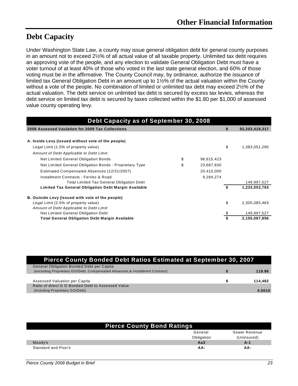### **Debt Capacity**

Under Washington State Law, a county may issue general obligation debt for general county purposes in an amount not to exceed 2½% of all actual value of all taxable property. Unlimited tax debt requires an approving vote of the people, and any election to validate General Obligation Debt must have a voter turnout of at least 40% of those who voted in the last state general election, and 60% of those voting must be in the affirmative. The County Council may, by ordinance, authorize the issuance of limited tax General Obligation Debt in an amount up to 1½% of the actual valuation within the County without a vote of the people. No combination of limited or unlimited tax debt may exceed 2½% of the actual valuation. The debt service on unlimited tax debt is secured by excess tax levies, whereas the debt service on limited tax debt is secured by taxes collected within the \$1.80 per \$1,000 of assessed value county operating levy.

| Debt Capacity as of September 30, 2008                  |                  |    |                |
|---------------------------------------------------------|------------------|----|----------------|
| 2008 Assessed Vaulation for 2009 Tax Collections        |                  | S  | 92,203,419,317 |
| A. Inside Levy (issued without vote of the people)      |                  |    |                |
| Legal Limit (1.5% of property value)                    |                  | \$ | 1,383,051,290  |
| Amount of Debt Applicable to Debt Limit:                |                  |    |                |
| Net Limited General Obligation Bonds                    | \$<br>96,615,423 |    |                |
| Net Limited General Obligation Bonds - Proprietary Type | \$<br>23,687,830 |    |                |
| Estimated Compensated Absences (12/31/2007)             | 20,410,000       |    |                |
| Installment Contracts - Ferries & Road                  | 9,284,274        |    |                |
| <b>Total Limited Tax General Obligation Debt</b>        |                  |    | 149,997,527    |
| Limited Tax General Obligation Debt Margin Available    |                  | S  | 1,233,053,763  |
| B. Outside Levy (issued with vote of the people)        |                  |    |                |
| Legal Limit (2.5% of property value)                    |                  | \$ | 2,305,085,483  |
| Amount of Debt Applicable to Debt Limit:                |                  |    |                |
| Net Limited General Obligation Debt                     |                  |    | 149,997,527    |
| <b>Total General Obligation Debt Margin Available</b>   |                  |    | 2,155,087,956  |

| Pierce County Bonded Debt Ratios Estimated at September 30, 2007              |         |
|-------------------------------------------------------------------------------|---------|
| <b>General Obligation Bonded Debt per Capita</b>                              |         |
| (excluding Proprietary GO/Debt, Compensated Absences, & Installment Contract) | 119.96  |
|                                                                               |         |
| Assessed Valuation per Capita                                                 | 114.482 |
| Ratio of direct G O Bonded Debt to Assessed Value                             |         |
| (including Proprietary GO/Debt)                                               | 0.0010  |

|                     | <b>Pierce County Bond Ratings</b> |               |
|---------------------|-----------------------------------|---------------|
|                     | General                           | Sewer Revenue |
|                     | Obligation                        | (Uninsured)   |
| Moody's             | Aa3                               | A-1           |
| Standard and Poor's | AA-                               | AA-           |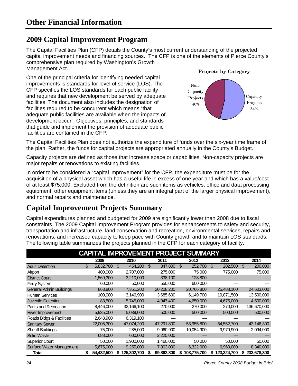### **2009 Capital Improvement Program**

The Capital Facilities Plan (CFP) details the County's most current understanding of the projected capital improvement needs and financing sources. The CFP is one of the elements of Pierce County's comprehensive plan required by Washington's Growth Management Act.

One of the principal criteria for identifying needed capital improvements is standards for level of service (LOS). The CFP specifies the LOS standards for each public facility and requires that new development be served by adequate facilities. The document also includes the designation of facilities required to be concurrent which means "that adequate public facilities are available when the impacts of development occur". Objectives, principles, and standards that guide and implement the provision of adequate public facilities are contained in the CFP.





The Capital Facilities Plan does not authorize the expenditure of funds over the six-year time frame of the plan. Rather, the funds for capital projects are appropriated annually in the County's Budget.

Capacity projects are defined as those that increase space or capabilities. Non-capacity projects are major repairs or renovations to existing facilities.

In order to be considered a "capital improvement" for the CFP, the expenditure must be for the acquisition of a physical asset which has a useful life in excess of one year and which has a value/cost of at least \$75,000. Excluded from the definition are such items as vehicles, office and data processing equipment, other equipment items (unless they are an integral part of the larger physical improvement), and normal repairs and maintenance.

### **Capital Improvement Projects Summary**

Capital expenditures planned and budgeted for 2009 are significantly lower than 2008 due to fiscal constraints. The 2009 Capital Improvement Program provides for enhancements to safety and security, transportation and infrastructure, land conservation and recreation, environmental services, repairs and renovations, and increased capacity to keep pace with County growth and to maintain LOS standards. The following table summarizes the projects planned in the CFP for each category of facility.

|                                 |     |            |    |             |     |            |     | <b>CAPITAL IMPROVEMENT PROJECT SUMMARY</b> |               |    |             |
|---------------------------------|-----|------------|----|-------------|-----|------------|-----|--------------------------------------------|---------------|----|-------------|
|                                 |     | 2009       |    | 2010        |     | 2011       |     | 2012                                       | 2013          |    | 2014        |
| <b>Adult Detention</b>          | \$. | 5,832,700  | ß. | 454,200     | \$. | 347,800    | \$. | 252,700                                    | \$<br>202,500 | S  | 200,000     |
| Airport                         |     | 400,000    |    | 2,707,000   |     | 275,000    |     | 75,000                                     | 775,000       |    | 75,000      |
| <b>District Court</b>           |     | 1,569,300  |    | 3,210,000   |     | 338,100    |     | 128,800                                    |               |    |             |
| Ferry System                    |     | 60,000     |    | 50,000      |     | 550,000    |     | 600,000                                    |               |    |             |
| <b>General Admin Buildings</b>  |     | 863,800    |    | 7,351,200   |     | 20,208,200 |     | 20,766,800                                 | 25,488,100    |    | 24,603,000  |
| <b>Human Services</b>           |     | 100,000    |    | 3,146,900   |     | 3,685,600  |     | 6,149,700                                  | 19,871,500    |    | 13,500,000  |
| Juvenile Detention              |     | 83,500     |    | 5,745,000   |     | 4.947.400  |     | 4,650,000                                  | 4,675,000     |    | 4,500,000   |
| Parks and Recreation            |     | 8,446,000  |    | 32,166,100  |     | 270,000    |     | 270,000                                    | 270,000       |    | 136,670,000 |
| River Improvement               |     | 5,935,000  |    | 5,039,000   |     | 500,000    |     | 500,000                                    | 500,000       |    | 500,000     |
| Roads Bldgs & Facilities        |     | 2,648,900  |    | 6,319,100   |     |            |     |                                            |               |    |             |
| <b>Sanitary Sewer</b>           |     | 22,005,300 |    | 47,074,200  |     | 47,291,800 |     | 53,955,800                                 | 54, 552, 700  |    | 43,146,300  |
| <b>Sheriff Buildings</b>        |     | 75,000     |    | 285,000     |     | 9,960,900  |     | 10,054,900                                 | 9.979.900     |    | 2,094,000   |
| <b>Solid Waste</b>              |     | 688,000    |    | 600,000     |     | 2,225,000  |     |                                            |               |    |             |
| <b>Superior Court</b>           |     | 50,000     |    | 1,900,000   |     | 1,460,000  |     | 50,000                                     | 50,000        |    | 50,000      |
| <b>Surface Water Management</b> |     | 5,675,000  |    | 9,255,000   |     | 7,803,000  |     | 6,322,000                                  | 6,960,000     |    | 8,340,000   |
| Total                           | \$  | 54,432,500 |    | 125,302,700 | S   | 99,862,800 | S.  | 103,775,700                                | 123,324,700   | S. | 233,678,300 |

*24 Pierce County 2008 Budget in Brief*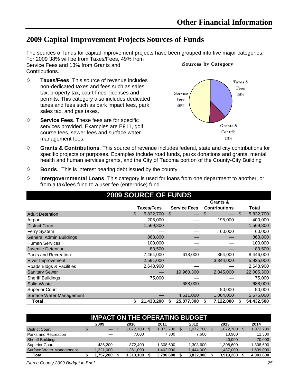### **2009 Capital Improvement Projects Sources of Funds**

The sources of funds for capital improvement projects have been grouped into five major categories. For 2009 38% will be from Taxes/Fees, 49% from Service Fees and 13% from Grants and Contributions. **Sources by Category**

- **Taxes/Fees**. This source of revenue includes non-dedicated taxes and fees such as sales tax, property tax, court fines, licenses and permits. This category also includes dedicated taxes and fees such as park impact fees, park sales tax, and gas taxes.
- **Service Fees**. These fees are for specific services provided. Examples are E911, golf course fees, sewer fees and surface water management fees.



- **Grants & Contributions**. This source of revenue includes federal, state and city contributions for specific projects or purposes. Examples include road funds, parks donations and grants, mental health and human services grants, and the City of Tacoma portion of the County-City Building
- **Bonds**. This is interest bearing debt issued by the county.
- **Intergovernmental Loans**. This category is used for loans from one department to another, or from a tax/fees fund to a user fee (enterprise) fund.

|                                | <b>2009 SOURCE OF FUNDS</b> |                     |                      |                 |
|--------------------------------|-----------------------------|---------------------|----------------------|-----------------|
|                                |                             |                     | Grants &             |                 |
|                                | Taxes/Fees                  | <b>Service Fees</b> | <b>Contributions</b> | Total           |
| <b>Adult Detention</b>         | \$<br>5,832,700             | \$                  | \$                   | \$<br>5,832,700 |
| Airport                        | 205,000                     |                     | 195,000              | 400,000         |
| <b>District Court</b>          | 1,569,300                   |                     |                      | 1,569,300       |
| Ferry System                   |                             |                     | 60,000               | 60,000          |
| <b>General Admin Buildings</b> | 863,800                     |                     |                      | 863,800         |
| <b>Human Services</b>          | 100,000                     |                     |                      | 100,000         |
| Juvenile Detention             | 83,500                      |                     |                      | 83,500          |
| Parks and Recreation           | 7,464,000                   | 618,000             | 364,000              | 8,446,000       |
| <b>River Improvement</b>       | 2,591,000                   |                     | 3,344,000            | 5,935,000       |
| Roads Bldgs & Facilities       | 2,648,900                   |                     |                      | 2,648,900       |
| <b>Sanitary Sewer</b>          |                             | 19,960,300          | 2,045,000            | 22,005,300      |
| <b>Sheriff Buildings</b>       | 75,000                      |                     |                      | 75,000          |
| Solid Waste                    |                             | 688,000             |                      | 688,000         |
| <b>Superior Court</b>          |                             |                     | 50,000               | 50,000          |
| Surface Water Management       |                             | 4,611,000           | 1,064,000            | 5,675,000       |
| <b>Total</b>                   | 21,433,200<br>S             | 25,877,300          | 7,122,000<br>S       | 54,432,500      |

| <b>IMPACT ON THE OPERATING BUDGET</b> |                                              |                   |     |           |  |           |  |           |  |           |    |           |  |  |
|---------------------------------------|----------------------------------------------|-------------------|-----|-----------|--|-----------|--|-----------|--|-----------|----|-----------|--|--|
|                                       | 2009<br>2012<br>2013<br>2014<br>2010<br>2011 |                   |     |           |  |           |  |           |  |           |    |           |  |  |
| <b>District Court</b>                 | \$                                           | $\qquad \qquad -$ | \$. | .072.700  |  | 1.072.700 |  | 1.072.700 |  | 1,072,700 | S. | 1,072,700 |  |  |
| Parks and Recreation                  |                                              |                   |     | 7.000     |  | 7.300     |  | 7.600     |  | 10.900    |    | 11.300    |  |  |
| <b>Sheriff Buildings</b>              |                                              |                   |     |           |  |           |  |           |  | 40,000    |    | 70,000    |  |  |
| <b>Superior Court</b>                 |                                              | 436.200           |     | 872.400   |  | 1.308.600 |  | 1.308.600 |  | 1,308,600 |    | 1.308.600 |  |  |
| <b>Surface Water Management</b>       |                                              | 1,321,000         |     | 1,361,000 |  | 1,402,000 |  | 1,444,000 |  | 1,487,000 |    | 1,539,000 |  |  |
| Total                                 |                                              | 1,757,200         |     | 3,313,100 |  | 3,790,600 |  | 3,832,900 |  | 3,919,200 |    | 4,001,600 |  |  |

*Pierce County 2009 Budget in Brief 25*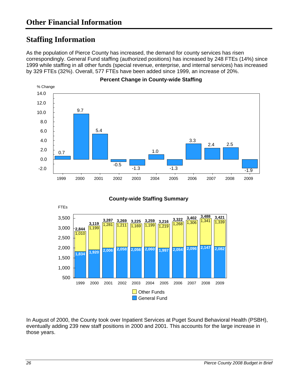### **Staffing Information**

As the population of Pierce County has increased, the demand for county services has risen correspondingly. General Fund staffing (authorized positions) has increased by 248 FTEs (14%) since 1999 while staffing in all other funds (special revenue, enterprise, and internal services) has increased by 329 FTEs (32%). Overall, 577 FTEs have been added since 1999, an increase of 20%.



**County-wide Staffing Summary** 



In August of 2000, the County took over Inpatient Services at Puget Sound Behavioral Health (PSBH), eventually adding 239 new staff positions in 2000 and 2001. This accounts for the large increase in those years.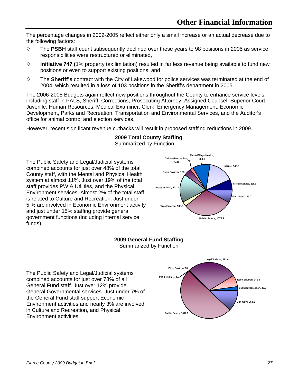The percentage changes in 2002-2005 reflect either only a small increase or an actual decrease due to the following factors:

- The **PSBH** staff count subsequently declined over these years to 98 positions in 2005 as service responsibilities were restructured or eliminated,
- $\diamond$  **Initiative 747 (1%** property tax limitation) resulted in far less revenue being available to fund new positions or even to support existing positions, and
- The **Sheriff's** contract with the City of Lakewood for police services was terminated at the end of 2004, which resulted in a loss of 103 positions in the Sheriff's department in 2005.

The 2006-2008 Budgets again reflect new positions throughout the County to enhance service levels, including staff in PALS, Sheriff, Corrections, Prosecuting Attorney, Assigned Counsel, Superior Court, Juvenile, Human Resources, Medical Examiner, Clerk, Emergency Management, Economic Development, Parks and Recreation, Transportation and Environmental Services, and the Auditor's office for animal control and election services.

However, recent significant revenue cutbacks will result in proposed staffing reductions in 2009.

#### **2009 Total County Staffing**

Summarized by Function

The Public Safety and Legal/Judicial systems combined accounts for just over 48% of the total County staff, with the Mental and Physical Health system at almost 11%. Just over 19% of the total staff provides PW & Utilities, and the Physical Environment services. Almost 2% of the total staff is related to Culture and Recreation. Just under 5 % are involved in Economic Environment activity and just under 15% staffing provide general government functions (including internal service funds).



#### **2009 General Fund Staffing**



The Public Safety and Legal/Judicial systems combined accounts for just over 78% of all General Fund staff. Just over 12% provide General Governmental services. Just under 7% of the General Fund staff support Economic Environment activities and nearly 3% are involved in Culture and Recreation, and Physical **Environment activities. Public Safety, 1040.3**<br>**Public Safety, 1040.3** 

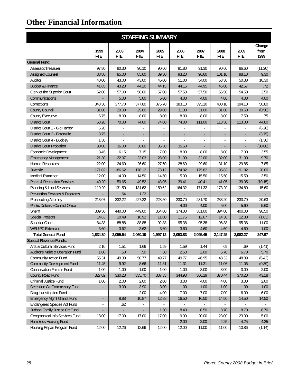|                                             |                          |          |                          | <b>STAFFING SUMMARY</b>  |                          |                          |                |                          |                |
|---------------------------------------------|--------------------------|----------|--------------------------|--------------------------|--------------------------|--------------------------|----------------|--------------------------|----------------|
|                                             | 1999                     | 2003     | 2004                     | 2005                     | 2006                     | 2007                     | 2008           | 2009                     | Change<br>from |
|                                             | <b>FTE</b>               | FTE.     | <b>FTE</b>               | FTE                      | <b>FTE</b>               | <b>FTE</b>               | <b>FTE</b>     | <b>FTE</b>               | 1999           |
| <b>General Fund:</b>                        |                          |          |                          |                          |                          |                          |                |                          |                |
| Assessor/Treasurer                          | 97.80                    | 90.30    | 90.10                    | 90.60                    | 91.80                    | 91.30                    | 90.60          | 86.60                    | (11.20)        |
| <b>Assigned Counsel</b>                     | 88.80                    | 85.00    | 85.60                    | 89.30                    | 93.20                    | 96.60                    | 101.10         | 98.10                    | 9.30           |
| Auditor                                     | 40.00                    | 43.00    | 43.00                    | 45.00                    | 51.00                    | 54.00                    | 53.30          | 50.30                    | 10.30          |
| <b>Budget &amp; Finance</b>                 | 41.85                    | 43.20    | 44.20                    | 44.15                    | 44.15                    | 44.95                    | 45.00          | 42.57                    | .72            |
| Clerk of the Superior Court                 | 52.00                    | 57.00    | 58.00                    | 57.00                    | 57.50                    | 57.50                    | 56.50          | 54.50                    | 2.50           |
| Communications                              |                          | 5.00     | 5.00                     | 5.00                     | 4.00                     | 4.00                     | 4.00           | 4.00                     | 4.00           |
| Corrections                                 | 343.30                   | 377.70   | 377.80                   | 375.70                   | 383.10                   | 395.10                   | 400.10         | 394.10                   | 50.80          |
| <b>County Council</b>                       | 31.00                    | 29.00    | 29.00                    | 29.00                    | 31.00                    | 31.00                    | 31.00          | 30.50                    | (0.50)         |
| <b>County Executive</b>                     | 6.75                     | 8.00     | 8.00                     | 8.00                     | 8.00                     | 8.00                     | 8.00           | 7.50                     | .75            |
| <b>District Court</b>                       | 68.20                    | 70.00    | 74.00                    | 74.00                    | 74.00                    | 111.00                   | 113.50         | 113.00                   | 44.80          |
| District Court 2 - Gig Harbor               | 6.20                     |          |                          |                          |                          |                          |                |                          | (6.20)         |
| District Court 3 - Eatonville               | 3.75                     |          | $\overline{\phantom{0}}$ | $\overline{\phantom{0}}$ | $\overline{\phantom{0}}$ | $\overline{\phantom{a}}$ | ۰              | $\overline{\phantom{a}}$ | (3.75)         |
| District Court 4 - Buckley                  | 1.30                     |          |                          | $\overline{a}$           |                          |                          |                |                          | (1.30)         |
| <b>District Court Probation</b>             | 30.00                    | 36.00    | 36.00                    | 35.50                    | 35.50                    |                          |                |                          | (30.00)        |
| Economic Development                        | 3.45                     | 6.15     | 7.15                     | 7.00                     | 8.00                     | 8.00                     | 8.00           | 7.00                     | 3.55           |
| <b>Emergency Management</b>                 | 21.30                    | 22.07    | 23.03                    | 28.00                    | 31.00                    | 32.00                    | 32.00          | 31.00                    | 9.70           |
| <b>Human Resources</b>                      | 22.00                    | 24.60    | 26.60                    | 27.60                    | 28.60                    | 29.60                    | 31.10          | 29.85                    | 7.85           |
| Juvenile                                    | 171.02                   | 186.62   | 176.12                   | 173.12                   | 174.82                   | 175.82                   | 195.82         | 191.82                   | 20.80          |
| <b>Medical Examiner</b>                     | 12.00                    | 14.00    | 14.50                    | 14.50                    | 15.00                    | 15.50                    | 15.50          | 15.50                    | 3.50           |
| <b>Parks &amp; Recreation Services</b>      | 49.20                    | 50.65    | 49.52                    | 43.05                    | 39.41                    | 40.41                    | 41.05          | 39.05                    | (10.15)        |
| Planning & Land Services                    | 119.20                   | 131.50   | 131.62                   | 150.62                   | 164.32                   | 171.32                   | 173.20         | 134.80                   | 15.60          |
| Prevention Services & Programs              | $\blacksquare$           | .64      | 1.22                     | ٠                        | $\blacksquare$           | $\overline{a}$           | $\blacksquare$ |                          |                |
| <b>Prosecuting Attorney</b>                 | 213.07                   | 232.22   | 227.22                   | 228.50                   | 230.70                   | 231.70                   | 233.20         | 233.70                   | 20.63          |
| <b>Public Defense Conflict Office</b>       |                          |          |                          | ۰                        | 4.00                     | 4.00                     | 5.00           | 5.60                     | 5.60           |
| Sheriff                                     | 309.50                   | 440.00   | 449.00                   | 364.00                   | 374.00                   | 381.00                   | 394.00         | 400.00                   | 90.50          |
| <b>Special Projects</b>                     | 14.63                    | 10.49    | 10.92                    | 11.00                    | 11.75                    | 12.67                    | 14.30          | 12.80                    | (1.83)         |
| <b>Superior Court</b>                       | 84.38                    | 88.88    | 88.88                    | 92.88                    | 95.38                    | 95.38                    | 96.38          | 95.38                    | 11.00          |
| <b>WSU PC Extension</b>                     | 3.60                     | 3.62     | 3.62                     | 3.60                     | 3.60                     | 4.60                     | 4.60           | 4.60                     | 1.00           |
| <b>Total General Fund</b>                   | 1,834.30                 | 2,055.64 | 2,060.10                 | 1,997.12                 | 2,053.83                 | 2,095.45                 | 2.147.25       | 2,082.27                 | 247.97         |
| <b>Special Revenue Funds:</b>               |                          |          |                          |                          |                          |                          |                |                          |                |
| Arts & Cultural Services Fund               | 2.10                     | 1.51     | 1.66                     | 1.59                     | 1.59                     | 1.44                     | .69            | .69                      | (1.41)         |
| <b>Auditor's Maint &amp; Operation Fund</b> | 1.00                     | .50      | .50                      | .50                      | 2.50                     | 2.00                     | 5.70           | 6.70                     | 5.70           |
| Community Action Fund                       | 55.31                    | 49.30    | 50.77                    | 49.77                    | 49.77                    | 46.95                    | 48.32          | 48.89                    | (6.42)         |
| <b>Community Development Fund</b>           | 11.45                    | 9.92     | 8.66                     | 11.31                    | 11.31                    | 11.31                    | 11.06          | 11.06                    | (0.39)         |
| <b>Conservation Futures Fund</b>            | 1.00                     | 1.00     | 1.00                     | 1.00                     | 1.00                     | 3.00                     | 3.00           | 3.00                     | 2.00           |
| County Road Fund                            | 327.02                   | 330.28   | 335.70                   | 337.33                   | 344.98                   | 366.19                   | 370.44         | 370.20                   | 43.18          |
| Criminal Justice Fund                       | 1.00                     | 2.00     | 2.00                     | 2.00                     | 3.00                     | 4.00                     | 4.00           | 3.00                     | 2.00           |
| Detention Ctr Commissary Fund               |                          | 3.00     | 3.90                     | 3.00                     | 1.00                     | 1.00                     | 1.00           | 1.00                     | 1.00           |
| Drug Investigation Fund                     |                          |          | 2.00                     | 4.00                     | 7.00                     | 7.00                     | 7.00           | 6.00                     | 6.00           |
| <b>Emergency Mgmt Grants Fund</b>           | $\overline{\phantom{a}}$ | 8.88     | 10.87                    | 12.88                    | 16.50                    | 16.50                    | 14.50          | 14.50                    | 14.50          |
| <b>Endangered Species Act Fund</b>          | $\overline{\phantom{a}}$ | .62      |                          |                          |                          |                          |                |                          |                |
| Judson Family Justice Ctr Fund              | $\overline{\phantom{a}}$ |          | $\blacksquare$           | 1.50                     | 8.40                     | 8.50                     | 8.70           | 8.70                     | 8.70           |
| Geographical Info Services Fund             | 18.00                    | 17.00    | 17.00                    | 17.00                    | 19.00                    | 20.00                    | 23.00          | 23.00                    | 5.00           |
| <b>Homeless Housing Fund</b>                | $\overline{\phantom{0}}$ |          |                          | ۰                        | 2.00                     | 2.00                     | 4.25           | 4.25                     | 4.25           |
| Housing Repair Program Fund                 | 12.00                    | 12.26    | 12.66                    | 12.00                    | 12.00                    | 11.00                    | 11.00          | 10.86                    | (1.14)         |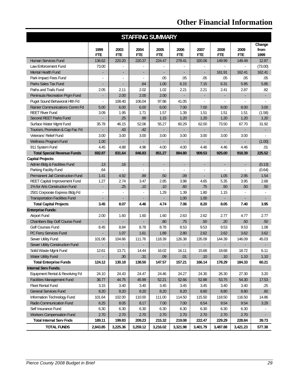|                                       |                                                              |                    |                    | <b>STAFFING SUMMARY</b> |                    |                          |                          |                    |                        |
|---------------------------------------|--------------------------------------------------------------|--------------------|--------------------|-------------------------|--------------------|--------------------------|--------------------------|--------------------|------------------------|
|                                       | 1999<br><b>FTE</b>                                           | 2003<br><b>FTE</b> | 2004<br><b>FTE</b> | 2005<br><b>FTE</b>      | 2006<br><b>FTE</b> | 2007<br><b>FTE</b>       | 2008<br><b>FTE</b>       | 2009<br><b>FTE</b> | Change<br>from<br>1999 |
| Human Services Fund                   | 136.62                                                       | 220.20             | 220.37             | 224.47                  | 278.41             | 320.06                   | 149.99                   | 149.49             | 12.87                  |
| Law Enforcement Fund                  | 73.00                                                        |                    |                    |                         |                    |                          |                          |                    | (73.00)                |
| <b>Mental Health Fund</b>             | ×,                                                           | ÷,                 | ÷.                 | ÷                       |                    | ÷.                       | 161.91                   | 162.41             | 162.41                 |
| Park Impact Fees Fund                 | $\blacksquare$                                               | $\blacksquare$     |                    | .05                     | .05                | .05                      | .05                      | .05                | .05                    |
| Parks Sales Tax Fund                  | L.                                                           | $\blacksquare$     | .64                | 1.00                    | 6.15               | 7.15                     | 6.31                     | 5.85               | 5.85                   |
| Paths and Trails Fund                 | 2.05                                                         | 2.11               | 2.02               | 1.02                    | 2.21               | 2.21                     | 2.41                     | 2.87               | .82                    |
| Peninsula Recreation Prgm Fund        | ÷,                                                           | 2.00               | 2.00               | 2.00                    | $\sim$             | $\overline{\phantom{a}}$ | ÷                        |                    |                        |
| Puget Sound Behavioral Hith Fd        | ä,                                                           | 108.40             | 106.04             | 97.86                   | 41.05              |                          |                          |                    |                        |
| Rainier Communications Comm Fd        | 5.00                                                         | 6.00               | 6.00               | 6.00                    | 7.00               | 7.00                     | 8.00                     | 8.00               | 3.00                   |
| <b>REET River Fund</b>                | 3.09                                                         | 1.95               | 1.71               | 1.57                    | 1.39               | 1.51                     | 1.51                     | 1.51               | (1.58)                 |
| Second REET Parks Fund                |                                                              | .25                | .89                | 1.15                    | 1.20               | 1.20                     | 1.20                     | 1.20               | 1.20                   |
| Surface Water Mgmt Fund               | 35.78                                                        | 46.15              | 52.06              | 55.27                   | 60.29              | 62.00                    | 73.50                    | 67.70              | 31.92                  |
| Tourism, Promotion & Cap Fac Fd       |                                                              | .43                | .42                |                         |                    |                          |                          |                    |                        |
| <b>Veterans' Relief Fund</b>          | 3.00                                                         | 3.00               | 3.00               | 3.00                    | 3.00               | 3.00                     | 3.00                     | 3.00               |                        |
| <b>Wellness Program Fund</b>          | 1.00                                                         |                    |                    |                         |                    |                          |                          |                    | (1.00)                 |
| 911 System Fund                       | 4.45                                                         | 4.88               | 4.96               | 4.00                    | 4.00               | 4.46                     | 4.46                     | 4.46               | .01                    |
| <b>Total Special Revenue Funds</b>    | 692.87                                                       | 831.64             | 846.83             | 851.27                  | 884.80             | 909.53                   | 925.00                   | 918.39             | 225.52                 |
| <b>Capital Projects:</b>              |                                                              |                    |                    |                         |                    |                          |                          |                    |                        |
| Admin Bldg & Facilities Fund          | .13                                                          | .16                | ÷.                 | н,                      | ٠                  | $\overline{\phantom{a}}$ | ۰                        | ×,                 | (0.13)                 |
| Parking Facility Fund                 | .64                                                          | ä,                 |                    |                         |                    |                          | $\blacksquare$           | $\blacksquare$     | (0.64)                 |
| Permanent Jail Construction Fund      | 1.41                                                         | 4.92               | .89                | .50                     | .09                |                          | 1.05                     | 2.95               | 1.54                   |
| <b>REET Capital Improvement Fund</b>  | 1.27                                                         | 2.74               | 3.47               | 2.85                    | 3.98               | 4.65                     | 5.35                     | 3.95               | 2.68                   |
| 1% for Arts Construction Fund         |                                                              | .25                | .10                | .10                     | .60                | .75                      | .50                      | .50                | .50                    |
| 2501 Corporate Express Bldg Fd        |                                                              |                    |                    | 1.29                    | 1.39               | 1.80                     | 1.15                     |                    |                        |
| <b>Transportation Facilities Fund</b> |                                                              |                    |                    |                         | 1.00               | 1.00                     |                          |                    |                        |
| <b>Total Capital Projects</b>         | 3.45                                                         | 8.07               | 4.46               | 4.74                    | 7.06               | 8.20                     | 8.05                     | 7.40               | 3.95                   |
| <b>Enterprise Funds:</b>              |                                                              |                    |                    |                         |                    |                          |                          |                    |                        |
| <b>Airport Fund</b>                   | 2.00                                                         | 1.60               | 1.60               | 1.60                    | 2.63               | 2.62                     | 2.77                     | 4.77               | 2.77                   |
| Chambers Bay Golf Course Fund         |                                                              |                    |                    | .80                     | .75                | .50                      | .20                      | .50                | .50                    |
| <b>Golf Courses Fund</b>              | 8.45                                                         | 8.84               | 8.78               | 8.78                    | 8.53               | 9.53                     | 9.53                     | 9.53               | 1.08                   |
| PC Ferry Services Fund                |                                                              | 1.07               | 1.61               | 1.89                    | 2.80               | 2.62                     | 2.62                     | 3.62               | 3.62                   |
| Sewer Utility Fund                    | 101.06                                                       | 104.66             | 111.76             | 118.39                  | 126.38             | 135.09                   | 144.39                   | 146.09             | 45.03                  |
| Sewer Utility Construction Fund       | ۰                                                            | $\frac{1}{2}$      | $\sim$             |                         | $\sim$             | $\overline{\phantom{a}}$ | $\overline{\phantom{a}}$ |                    | $\sim$                 |
| Solid Waste Mgmt Fund                 | 12.61                                                        | 13.71              | 14.44              | 16.02                   | 16.11              | 15.68                    | 18.68                    | 18.72              | 6.11                   |
| <b>Water Utility Fund</b>             |                                                              | .30                | .31                | .09                     | .01                | .10                      | .10                      | 1.10               | 1.10                   |
| <b>Total Enterprise Funds</b>         | 124.12                                                       | 130.18             | 138.50             | 147.57                  | 157.21             | 166.14                   | 178.29                   | 184.33             | 60.21                  |
| <b>Internal Serv Funds:</b>           |                                                              |                    |                    |                         |                    |                          |                          |                    |                        |
| Equipment Rental & Revolving Fd       | 24.10                                                        | 24.43              | 24.47              | 24.46                   | 24.27              | 24.30                    | 26.30                    | 27.30              | 3.20                   |
| <b>Facilities Management Fund</b>     | 36.77                                                        | 44.75              | 45.99              | 52.21                   | 52.66              | 52.88                    | 53.75                    | 54.30              | 17.53                  |
| <b>Fleet Rental Fund</b>              | 3.40<br>3.40<br>3.45<br>3.45<br>3.40<br>3.40<br>3.15<br>3.45 |                    | .25                |                         |                    |                          |                          |                    |                        |
| <b>General Services Fund</b>          | 8.20                                                         | 8.20               | 8.20               | 8.20                    | 8.20               | 8.80                     | 8.80                     | 8.80               | .60                    |
| Information Technology Fund           | 101.64                                                       | 102.00             | 110.00             | 111.00                  | 114.50             | 115.50                   | 118.50                   | 116.50             | 14.86                  |
| Radio Communication Fund              | 6.25                                                         | 8.05               | 8.17               | 7.00                    | 7.00               | 8.54                     | 9.54                     | 9.54               | 3.29                   |
| Self Insurance Fund                   | 6.30                                                         | 6.30               | 6.30               | 6.30                    | 6.30               | 6.30                     | 6.30                     | 6.30               |                        |
| <b>Workers Compensation Fund</b>      | 2.70                                                         | 2.70               | 2.70               | 2.70                    | 2.70               | 2.70                     | 2.70                     | 2.70               |                        |
| <b>Total Internal Serv Fnds</b>       | 189.11                                                       | 199.83             | 209.23             | 215.32                  | 219.08             | 222.47                   | 229.29                   | 228.84             | 39.73                  |
| <b>TOTAL FUNDS</b>                    | 2,843.85                                                     | 3,225.36           | 3,259.12           | 3,216.02                | 3,321.98           | 3,401.79                 | 3,487.88                 | 3,421.23           | 577.38                 |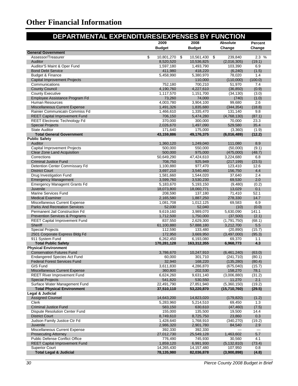| DEPARTMENTAL EXPENDITURES/EXPENSES BY FUNCTION                       |                          |                          |                             |                  |
|----------------------------------------------------------------------|--------------------------|--------------------------|-----------------------------|------------------|
|                                                                      | 2009                     | 2008                     | <b>Absolute</b>             | <b>Percent</b>   |
|                                                                      | <b>Budget</b>            | <b>Budget</b>            | Change                      | Change           |
| <b>General Government</b><br>Assessor/Treasurer                      | \$<br>10,801,270         | \$<br>10,561,430 \$      | 239,840                     | 2.3%             |
| Auditor                                                              | 8,520,520                | 10,536,825               | (2,016,305)                 | (19.1)           |
| Auditor'S Maint & Oper Fund                                          | 1,597,180                | 1,493,790                | 103,390                     | 6.9              |
| <b>Bond Debt Service</b>                                             | 411,980                  | 418,220                  | (6, 240)                    | (1.5)            |
| Budget & Finance                                                     | 5,458,990                | 5,380,970                | 78,020                      | 1.4              |
| <b>Capital Improvement Projects</b>                                  |                          | 110,000                  | (110,000)                   | (100.0)          |
| Communications                                                       | 752,180                  | 700,210                  | 51,970                      | 7.4              |
| <b>County Council</b>                                                | 4,190,760                | 4,227,610                | (36, 850)                   | (0.9)            |
| <b>County Executive</b><br>Employee Assistance Program Fd            | 1,117,570                | 1,151,700<br>74,000      | (34, 130)                   | (3.0)            |
| Human Resources                                                      | 73,260<br>4,003,780      | 3,904,100                | (740)<br>99,680             | (1.0)<br>2.6     |
| <b>Miscellaneous Current Expense</b>                                 | 1,491,326                | 1,835,680                | (344, 354)                  | (18.8)           |
| Rainier Communicatn Commiss Fd                                       | 1,466,610                | 1,335,470                | 131,140                     | 9.8              |
| <b>REET Capital Improvement Fund</b>                                 | 706,150                  | 5,474,280                | (4,768,130)                 | (87.1)           |
| <b>REET Electronic Technology Fd</b>                                 | 370,000                  | 300,000                  | 70,000                      | 23.3             |
| <b>Special Projects</b>                                              | 2,026,670                | 1,497,090                | 529,580                     | 35.4             |
| <b>State Auditor</b>                                                 | 171,640                  | 175,000                  | (3,360)                     | (1.9)            |
| <b>Total General Government</b>                                      | 43,159,886               | 49,176,375               | (6,016,489)                 | (12.2)           |
| <b>Public Safety</b>                                                 |                          |                          |                             |                  |
| Auditor<br>Capital Improvement Projects                              | 1,360,120<br>500,000     | 1,249,040<br>550,000     | 111,080<br>(50,000)         | 8.9<br>(9.1)     |
| Clear Zone Land Acquisition                                          | 500,000                  | 975,000                  | (475,000)                   | (48.7)           |
| Corrections                                                          | 50,649,290               | 47,424,610               | 3,224,680                   | 6.8              |
| <b>Criminal Justice Fund</b>                                         | 708,750                  | 925,949                  | (217, 199)                  | (23.5)           |
| Detention Center Commissary Fd                                       | 1,100,880                | 977,470                  | 123,410                     | 12.6             |
| <b>District Court</b>                                                | 3,697,210                | 3,540,460                | 156,750                     | 4.4              |
| Drug Investigation Fund                                              | 1,581,660                | 1,544,020                | 37,640                      | 2.4              |
| <b>Emergency Management</b>                                          | 3,599,760                | 3,530,230                | 69,530                      | 2.0              |
| <b>Emergency Managemt Grants Fd</b>                                  | 5,183,670                | 5,193,150                | (9,480)                     | (0.2)            |
| Juvenile<br>Marine Services Fund                                     | 18,073,800<br>208,590    | 18,060,771<br>137,180    | 13,029<br>71,410            | 0.1<br>52.1      |
| <b>Medical Examiner</b>                                              | 2,165,580                | 1,887,250                | 278,330                     | 14.7             |
| Miscellaneous Current Expense                                        | 1,081,708                | 1,012,125                | 69,583                      | 6.9              |
| <b>Parks And Recreation Services</b>                                 | 52,030                   | 52,040                   | (10)                        | (0.0)            |
| Permanent Jail Construction Fd                                       | 9,619,160                | 3,989,070                | 5,630,090                   | 141.1            |
| <b>Prevention Services &amp; Programs</b>                            | 1,712,500                | 1,750,000                | (37,500)                    | (2.1)            |
| <b>REET Capital Improvement Fund</b>                                 | 837,550                  | 2,629,300                | (1,791,750)                 | (68.1)           |
| Sheriff                                                              | 61,100,880               | 57,888,180               | 3,212,700                   | 5.5              |
| <b>Special Projects</b>                                              | 112,590                  | 133,480                  | (20, 890)                   | (15.7)           |
| 2501 Corporate Express Bldg Fd                                       | 172,950                  | 3,669,950                | (3,497,000)                 | (95.3)           |
| 911 System Fund<br><b>Total Public Safety</b>                        | 6,262,450<br>170,281,128 | 6,193,080<br>163,312,355 | 69,370<br>6,968,773         | 1.1<br>4.3       |
| <b>Physical Environment</b>                                          |                          |                          |                             |                  |
| Conservation Futures Fund                                            | 3,786,670                | 10,247,910               | (6,461,240)                 | (63.0)           |
| <b>Endangered Species Act Fund</b>                                   | 60,000                   | 301,710                  | (241, 710)                  | (80.1)           |
| <b>Federal Forest Services Fund</b>                                  | 32,940                   | 168,220                  | (135, 280)                  | (80.4)           |
| GIS Fund                                                             | 3,611,830                | 4,286,870                | (675,040)                   | (15.7)           |
| <b>Miscellaneous Current Expense</b>                                 | 360,800                  | 202,530                  | 158,270                     | 78.1             |
| <b>REET River Improvement Fund</b>                                   | 6,624,260                | 9,631,140                | (3,006,880)                 | (31.2)           |
| <b>Special Projects</b>                                              | 541,820                  | 530,550                  | 11,270                      | 2.1              |
| Surface Water Management Fund<br><b>Total Physical Environment</b>   | 22,491,790<br>37,510,110 | 27,851,940<br>53,220,870 | (5,360,150)<br>(15,710,760) | (19.2)<br>(29.5) |
| Legal & Judicial                                                     |                          |                          |                             |                  |
| <b>Assigned Counsel</b>                                              | 14,643,200               | 14,823,020               | (179, 820)                  | (1.2)            |
| Clerk                                                                | 5,283,960                | 5,214,510                | 69,450                      | 1.3              |
| <b>Criminal Justice Fund</b>                                         | 583,150                  | 630,610                  | (47, 460)                   | (7.5)            |
| <b>Dispute Resolution Center Fund</b>                                | 155,000                  | 135,500                  | 19,500                      | 14.4             |
| <b>District Court</b>                                                | 8,749,610                | 8,725,750                | 23,860                      | 0.3              |
| Judson Family Justice Ctr Fd                                         | 1,428,640                | 1,768,910                | (340, 270)                  | (19.2)           |
| Juvenile                                                             | 2,986,320                | 2,901,780                | 84,540                      | 2.9              |
| Miscellaneous Current Expense                                        | 392,330                  | 392,330                  |                             |                  |
| <b>Prosecuting Attorney</b><br><b>Public Defense Conflict Office</b> | 27,012,730               | 25,549,128               | 1,463,602                   | 5.7              |
| <b>REET Capital Improvement Fund</b>                                 | 776,490<br>1,859,120     | 745,930<br>6,991,930     | 30,560<br>(5, 132, 810)     | 4.1<br>(73.4)    |
| <b>Superior Court</b>                                                | 14,265,430               | 14,157,480               | 107,950                     | 0.8              |
| <b>Total Legal &amp; Judicial</b>                                    | 78,135,980               | 82,036,878               | (3,900,898)                 | (4.8)            |
|                                                                      |                          |                          |                             |                  |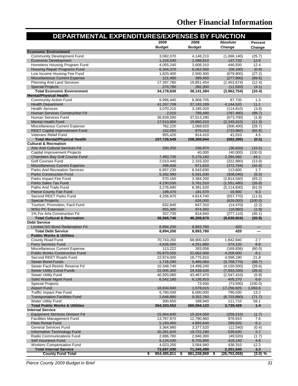| DEPARTMENTAL EXPENDITURES/EXPENSES BY FUNCTION                         |                         |                         |                           |                    |
|------------------------------------------------------------------------|-------------------------|-------------------------|---------------------------|--------------------|
|                                                                        | 2009                    | 2008                    | <b>Absolute</b>           | Percent            |
|                                                                        | <b>Budget</b>           | <b>Budget</b>           | Change                    | Change             |
| <b>Economic Environment</b>                                            |                         |                         |                           |                    |
| <b>Community Development Fund</b>                                      | 3,082,070               | 4,148,210               | (1,066,140)               | (25.7)             |
| <b>Economic Development</b><br>Homeless Housing Program Fund           | 1,226,530<br>4,055,240  | 1,088,810<br>3,608,310  | 137,720<br>446,930        | 12.6<br>12.4       |
| <b>Housing Repair Programs Fund</b>                                    | 6,204,370               | 6,262,550               | (58, 180)                 | (0.9)              |
| Low Income Housing Fee Fund                                            | 1,820,400               | 2,500,300               | (679,900)                 | (27.2)             |
| <b>Miscellaneous Current Expense</b>                                   | 121,460                 | 399,450                 | (277,990)                 | (69.6)             |
| <b>Planning And Land Services</b>                                      | 17,397,780              | 19,851,454              | (2,453,674)               | (12.4)             |
| <b>Special Projects</b>                                                | 270,780                 | 282,300                 | (11,520)                  | (4.1)              |
| <b>Total Economic Environment</b>                                      | 34,178,630              | 38,141,384              | (3,962,754)               | (10.4)             |
| <b>Mental/Physical Health</b><br><b>Community Action Fund</b>          | 6,996,440               | 6,908,705               | 87.735                    | 1.3                |
| <b>Health Department</b>                                               | 41,337,709              | 37, 193, 189            | 4,144,520                 | 11.1               |
| <b>Health Services</b>                                                 | 3,070,210               | 3,185,020               | (114, 810)                | (3.6)              |
| Human Services Construction Fd                                         | 2,010                   | 789,490                 | (787, 480)                | (99.7)             |
| Human Services Fund                                                    | 36,839,590              | 37,513,290              | (673, 700)                | (1.8)              |
| <b>Mental Health Fund</b>                                              | 17,610,900              | 19,860,210              | (2, 249, 310)             | (11.3)             |
| Miscellaneous Current Expense                                          | 762,220                 | 1,068,620               | (306, 400)                | (28.7)             |
| <b>REET Capital Improvement Fund</b>                                   | 152,050                 | 876,010                 | (723,960)                 | (82.6)<br>4.5      |
| Veterans Relief Fund<br><b>Total Mental/Physical Health</b>            | 955,420<br>107,726,549  | 914,410<br>108,308,944  | 41,010<br>(582, 395)      | (0.5)              |
| <b>Cultural &amp; Recreation</b>                                       |                         |                         |                           |                    |
| Arts And Cultural Services Fd                                          | 200,250                 | 236,870                 | (36, 620)                 | (15.5)             |
| <b>Capital Improvement Projects</b>                                    |                         | 40,000                  | (40,000)                  | (100.0)            |
| Chambers Bay Golf Course Fund                                          | 7,460,720               | 5,176,160               | 2,284,560                 | 44.1               |
| <b>Golf Courses Fund</b>                                               | 2,010,440               | 2,333,320               | (322, 880)                | (13.8)             |
| <b>Miscellaneous Current Expense</b>                                   | 498,836                 | 871,620                 | (372, 784)                | (42.8)             |
| <b>Parks And Recreation Services</b>                                   | 6,657,230               | 6,543,630               | 113,600                   | 1.7<br>(5.5)       |
| <b>Parks Construction Fund</b><br>Parks Impact Fee Fund                | 5,282,990<br>570,160    | 5,591,030<br>3,384,200  | (308, 040)<br>(2,814,040) | (83.2)             |
| Parks Sales Tax Fund                                                   | 4,230,030               | 5,781,510               | (1,551,480)               | (26.8)             |
| Paths And Trails Fund                                                  | 3,276,690               | 8,391,520               | (5, 114, 830)             | (61.0)             |
| <b>Pierce County Fair Fund</b>                                         | 198,470                 | 181,570                 | 16,900                    | 9.3                |
| Second REET Parks Fund                                                 | 4,256,970               | 4,814,740               | (557, 770)                | (11.6)             |
| <b>Special Projects</b>                                                |                         | 626,000                 | (626,000)                 | (100.0)            |
| Tourism, Promotion, Facil Fund                                         | 632,840                 | 647,310                 | (14, 470)                 | (2.2)              |
| <b>WSU PC Extension</b><br>1% For Arts Construction Fd                 | 955,390<br>337,730      | 974,350<br>614,840      | (18,960)<br>(277, 110)    | (1.9)<br>(45.1)    |
| <b>Total Cultural &amp; Recreation</b>                                 | 36,568,746              | 46,208,670              | (9,639,924)               | (20.9)             |
| <b>Debt Service</b>                                                    |                         |                         |                           |                    |
| Limited GO Bond Redemption Fd                                          | 8,894,200               | 8,893,780               | 420                       |                    |
| <b>Total Debt Service</b>                                              | 8,894,200               | 8,893,780               | 420                       |                    |
| <b>Public Works &amp; Utilities</b>                                    |                         |                         |                           |                    |
| County Road Fund                                                       | 70.743.260              | 68,900,420              | 1,842,840                 | 2.7                |
| <b>Ferry Services Fund</b>                                             | 4,626,000               | 4,251,880               | 374,120                   | 8.8                |
| Miscellaneous Current Expense<br><b>Public Works Construction Fund</b> | 113,222<br>55,870,000   | 283,058<br>51,662,000   | (169, 836)<br>4,208,000   | (60.0)<br>8.1      |
| Second REET Roads Fund                                                 | 22,874,000              | 18,775,810              | 4,098,190                 | 21.8               |
| <b>Sewer Bond Funds</b>                                                | 1,716,290               | 5,485,060               | (3,768,770)               | (68.7)             |
| Sewer Facil Restric Reserve Fd                                         | 10,348,740              | 14,499,240              | (4, 150, 500)             | (28.6)             |
| <b>Sewer Utility Const Funds</b>                                       | 22,005,300              | 29,938,630              | (7,933,330)               | (26.5)             |
| Sewer Utility Fund                                                     | 40,920,060              | 43,467,470              | (2,547,410)               | (5.9)              |
| Solid Waste Mgmt Fund                                                  | 6,542,180               | 6,136,910               | 405,270                   | 6.6                |
| <b>Special Projects</b><br><b>Airport Fund</b>                         | 18,834,940              | 73,930<br>1,578,015     | (73,930)<br>17,256,925    | (100.0)<br>1,093.6 |
| <b>Traffic Impact Fee Fund</b>                                         | 6,790,030               | 6,000,000               | 790,030                   | 13.2               |
| <b>Transportation Facilities Fund</b>                                  | 2,648,880               | 9,352,760               | (6,703,880)               | (71.7)             |
| <b>Water Utility Fund</b>                                              | 300,650                 | 188,940                 | 111,710                   | 59.1               |
| <b>Total Public Works &amp; Utilities</b>                              | 264,333,552             | 260,594,123             | 3,739,429                 | 1.4                |
| <b>Internal Service</b>                                                |                         |                         |                           |                    |
| <b>Equipment Services Division Fd</b>                                  | 15,064,840              | 15,324,050              | (259, 210)                | (1.7)              |
| <b>Facilities Management Fund</b>                                      | 13,767,870              | 12,790,960              | 976,910                   | 7.6                |
| <b>Fleet Rental Fund</b><br><b>General Services Fund</b>               | 5,193,460               | 4,893,640               | 299,820<br>(12, 540)      | 6.1<br>(0.4)       |
| Information Technology Fund                                            | 3,364,980<br>20,261,820 | 3,377,520<br>19,722,190 | 539,630                   | 2.7                |
| Radio Communications Fund                                              | 2,896,780               | 2,946,300               | (49, 520)                 | (1.7)              |
| Self Insurance Fund                                                    | 9,124,030               | 8,705,890               | 418,140                   | 4.8                |
| <b>Workers Compensation Fund</b>                                       | 4,023,250               | 3,584,940               | 438,310                   | 12.2               |
| <b>Total Internal Service</b>                                          | 73,697,030              | 71,345,490              | 2,351,540                 | 3.3                |
| <b>County Fund Total</b>                                               | \$<br>854,485,811       | 881,238,869             | (26,753,058)              | (3.0) %            |

*Pierce County 2009 Budget in Brief 31*